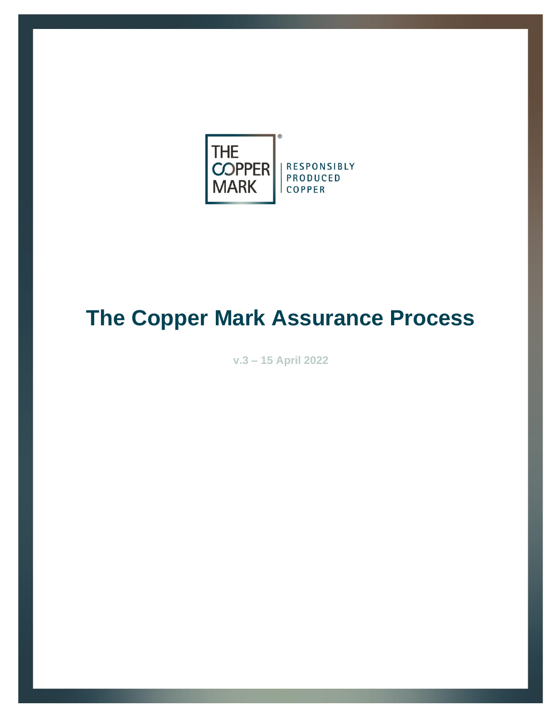

# **The Copper Mark Assurance Process**

**v.3 – 15 April 2022**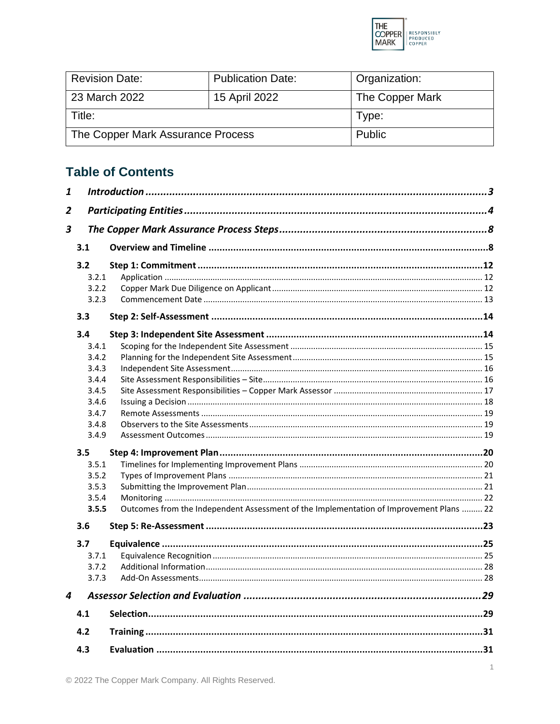

| <b>Revision Date:</b>             | <b>Publication Date:</b> | Organization:   |
|-----------------------------------|--------------------------|-----------------|
| 23 March 2022                     | 15 April 2022            | The Copper Mark |
| Title:                            |                          | Type:           |
| The Copper Mark Assurance Process |                          | <b>Public</b>   |

# **Table of Contents**

| $\mathbf{1}$            |       |                                                                                         |  |
|-------------------------|-------|-----------------------------------------------------------------------------------------|--|
| $\overline{2}$          |       |                                                                                         |  |
| $\overline{\mathbf{3}}$ |       |                                                                                         |  |
|                         |       |                                                                                         |  |
|                         | 3.1   |                                                                                         |  |
|                         | 3.2   |                                                                                         |  |
|                         | 3.2.1 |                                                                                         |  |
|                         | 3.2.2 |                                                                                         |  |
|                         | 3.2.3 |                                                                                         |  |
|                         | 3.3   |                                                                                         |  |
|                         | 3.4   |                                                                                         |  |
|                         | 3.4.1 |                                                                                         |  |
|                         | 3.4.2 |                                                                                         |  |
|                         | 3.4.3 |                                                                                         |  |
|                         | 3.4.4 |                                                                                         |  |
|                         | 3.4.5 |                                                                                         |  |
|                         | 3.4.6 |                                                                                         |  |
|                         | 3.4.7 |                                                                                         |  |
|                         | 3.4.8 |                                                                                         |  |
|                         | 3.4.9 |                                                                                         |  |
|                         | 3.5   |                                                                                         |  |
|                         | 3.5.1 |                                                                                         |  |
|                         | 3.5.2 |                                                                                         |  |
|                         | 3.5.3 |                                                                                         |  |
|                         | 3.5.4 |                                                                                         |  |
|                         | 3.5.5 | Outcomes from the Independent Assessment of the Implementation of Improvement Plans  22 |  |
|                         | 3.6   |                                                                                         |  |
|                         | 3.7   |                                                                                         |  |
|                         | 3.7.1 |                                                                                         |  |
|                         | 3.7.2 |                                                                                         |  |
|                         | 3.7.3 |                                                                                         |  |
| 4                       |       |                                                                                         |  |
|                         | 4.1   |                                                                                         |  |
|                         | 4.2   |                                                                                         |  |
|                         |       |                                                                                         |  |
|                         | 4.3   |                                                                                         |  |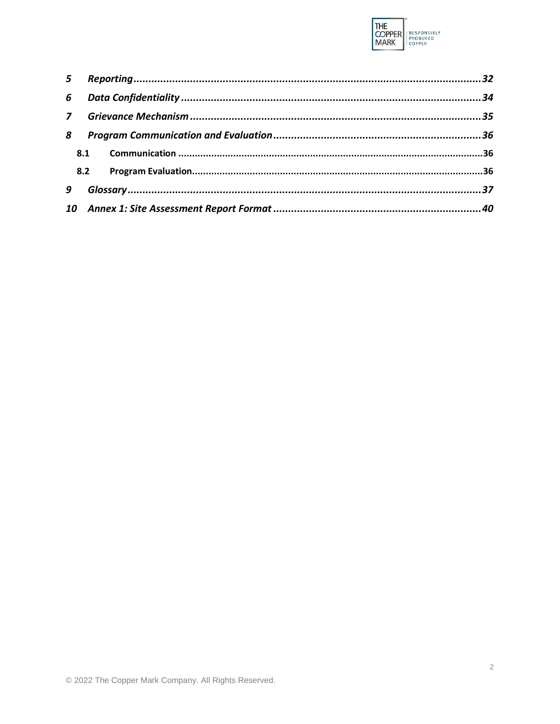

| 5 <sup>1</sup> |     |  |
|----------------|-----|--|
| 6              |     |  |
|                |     |  |
| 8              |     |  |
|                | 8.1 |  |
|                | 8.2 |  |
| 9              |     |  |
| 10             |     |  |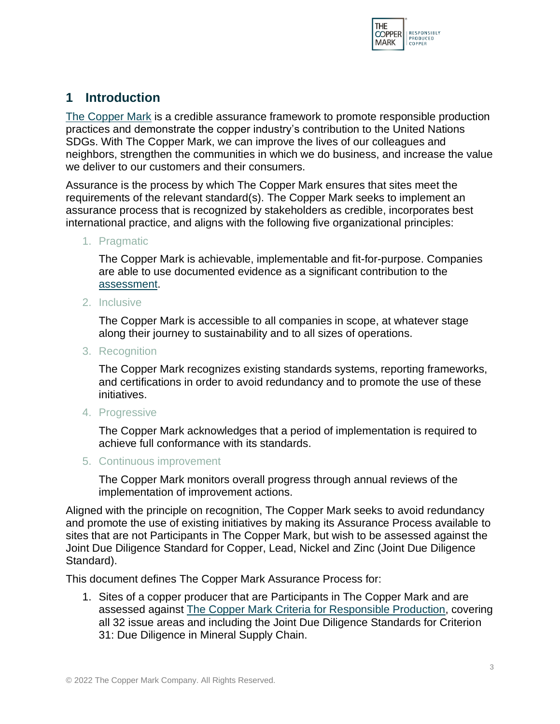

# <span id="page-3-0"></span>**1 Introduction**

[The Copper Mark](#page-37-1) is a credible assurance framework to promote responsible production practices and demonstrate the copper industry's contribution to the United Nations SDGs. With The Copper Mark, we can improve the lives of our colleagues and neighbors, strengthen the communities in which we do business, and increase the value we deliver to our customers and their consumers.

Assurance is the process by which The Copper Mark ensures that sites meet the requirements of the relevant standard(s). The Copper Mark seeks to implement an assurance process that is recognized by stakeholders as credible, incorporates best international practice, and aligns with the following five organizational principles:

1. Pragmatic

The Copper Mark is achievable, implementable and fit-for-purpose. Companies are able to use documented evidence as a significant contribution to the [assessment.](#page-37-2)

2. Inclusive

The Copper Mark is accessible to all companies in scope, at whatever stage along their journey to sustainability and to all sizes of operations.

3. Recognition

The Copper Mark recognizes existing standards systems, reporting frameworks, and certifications in order to avoid redundancy and to promote the use of these initiatives.

4. Progressive

The Copper Mark acknowledges that a period of implementation is required to achieve full conformance with its standards.

5. Continuous improvement

The Copper Mark monitors overall progress through annual reviews of the implementation of improvement actions.

Aligned with the principle on recognition, The Copper Mark seeks to avoid redundancy and promote the use of existing initiatives by making its Assurance Process available to sites that are not Participants in The Copper Mark, but wish to be assessed against the Joint Due Diligence Standard for Copper, Lead, Nickel and Zinc (Joint Due Diligence Standard).

This document defines The Copper Mark Assurance Process for:

1. Sites of a copper producer that are Participants in The Copper Mark and are assessed against The Copper Mark [Criteria for Responsible Production,](#page-37-3) covering all 32 issue areas and including the Joint Due Diligence Standards for Criterion 31: Due Diligence in Mineral Supply Chain.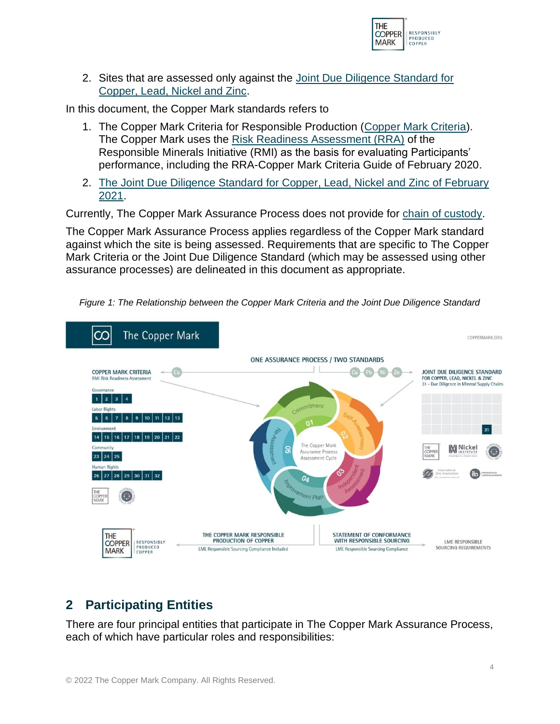

2. Sites that are assessed only against the [Joint Due Diligence Standard for](#page-38-0)  [Copper, Lead, Nickel and Zinc.](#page-38-0)

In this document, the Copper Mark standards refers to

- 1. The Copper Mark Criteria for Responsible Production [\(Copper Mark](#page-37-3) Criteria). The Copper Mark uses the Risk [Readiness Assessment \(RRA\)](http://www.responsiblemineralsinitiative.org/media/docs/RRA/2019%20RRA%20Issue%20Areas%20and%20Industry%20Norms_FINAL.pdf) of the Responsible Minerals Initiative (RMI) as the basis for evaluating Participants' performance, including the RRA-Copper Mark [Criteria Guide of February 2020.](https://coppermark.org/wp-content/uploads/2020/08/Copper-Mark-Criteria-Guide_FINAL_24FEB20.pdf)
- 2. [The Joint Due Diligence Standard](#page-38-0) for Copper, Lead, Nickel and Zinc of February [2021.](#page-38-0)

Currently, The Copper Mark Assurance Process does not provide for [chain of custody.](#page-37-4)

The Copper Mark Assurance Process applies regardless of the Copper Mark standard against which the site is being assessed. Requirements that are specific to The Copper Mark Criteria or the Joint Due Diligence Standard (which may be assessed using other assurance processes) are delineated in this document as appropriate.



*Figure 1: The Relationship between the Copper Mark Criteria and the Joint Due Diligence Standard*

# <span id="page-4-0"></span>**2 Participating Entities**

There are four principal entities that participate in The Copper Mark Assurance Process, each of which have particular roles and responsibilities: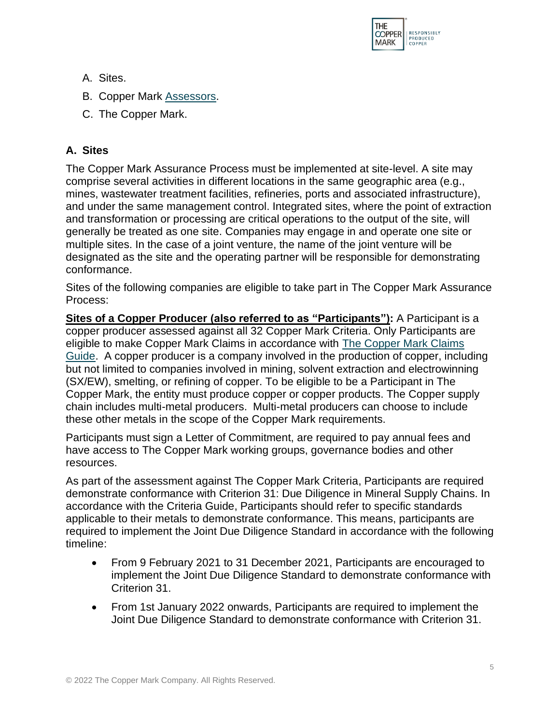

- A. Sites.
- B. Copper Mark [Assessors.](#page-37-5)
- C. The Copper Mark.

# **A. Sites**

The Copper Mark Assurance Process must be implemented at site-level. A site may comprise several activities in different locations in the same geographic area (e.g., mines, wastewater treatment facilities, refineries, ports and associated infrastructure), and under the same management control. Integrated sites, where the point of extraction and transformation or processing are critical operations to the output of the site, will generally be treated as one site. Companies may engage in and operate one site or multiple sites. In the case of a joint venture, the name of the joint venture will be designated as the site and the operating partner will be responsible for demonstrating conformance.

Sites of the following companies are eligible to take part in The Copper Mark Assurance Process:

**Sites of a Copper Producer (also referred to as "Participants"):** A Participant is a copper producer assessed against all 32 Copper Mark Criteria. Only Participants are eligible to make Copper Mark Claims in accordance with [The Copper Mark Claims](https://coppermark.org/wp-content/uploads/2020/08/The-Copper-Mark-Claims-Guide_FINAL_19MAR20.pdf)  [Guide.](https://coppermark.org/wp-content/uploads/2020/08/The-Copper-Mark-Claims-Guide_FINAL_19MAR20.pdf) A copper producer is a company involved in the production of copper, including but not limited to companies involved in mining, solvent extraction and electrowinning (SX/EW), smelting, or refining of copper. To be eligible to be a Participant in The Copper Mark, the entity must produce copper or copper products. The Copper supply chain includes multi-metal producers. Multi-metal producers can choose to include these other metals in the scope of the Copper Mark requirements.

Participants must sign a Letter of Commitment, are required to pay annual fees and have access to The Copper Mark working groups, governance bodies and other resources.

As part of the assessment against The Copper Mark Criteria, Participants are required demonstrate conformance with Criterion 31: Due Diligence in Mineral Supply Chains. In accordance with the Criteria Guide, Participants should refer to specific standards applicable to their metals to demonstrate conformance. This means, participants are required to implement the Joint Due Diligence Standard in accordance with the following timeline:

- From 9 February 2021 to 31 December 2021, Participants are encouraged to implement the Joint Due Diligence Standard to demonstrate conformance with Criterion 31.
- From 1st January 2022 onwards, Participants are required to implement the Joint Due Diligence Standard to demonstrate conformance with Criterion 31.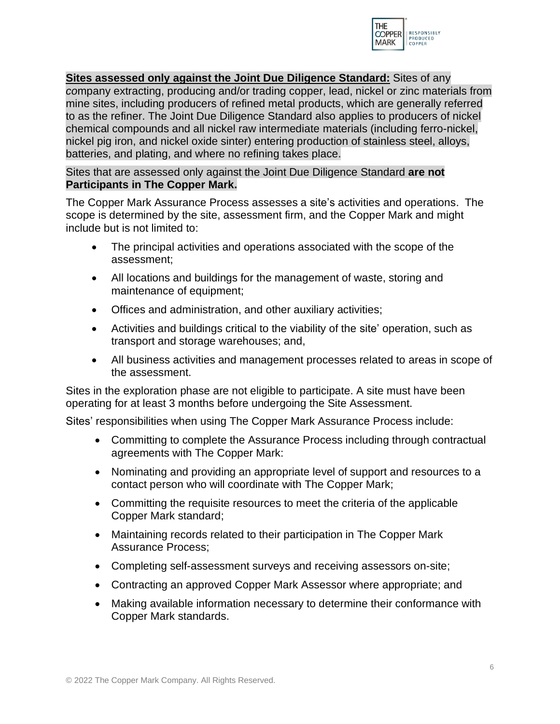

## **Sites assessed only against the Joint Due Diligence Standard:** Sites of any

*co*mpany extracting, producing and/or trading copper, lead, nickel or zinc materials from mine sites, including producers of refined metal products, which are generally referred to as the refiner. The Joint Due Diligence Standard also applies to producers of nickel chemical compounds and all nickel raw intermediate materials (including ferro-nickel, nickel pig iron, and nickel oxide sinter) entering production of stainless steel, alloys, batteries, and plating, and where no refining takes place.

#### Sites that are assessed only against the Joint Due Diligence Standard **are not Participants in The Copper Mark.**

The Copper Mark Assurance Process assesses a site's activities and operations. The scope is determined by the site, assessment firm, and the Copper Mark and might include but is not limited to:

- The principal activities and operations associated with the scope of the assessment;
- All locations and buildings for the management of waste, storing and maintenance of equipment;
- Offices and administration, and other auxiliary activities;
- Activities and buildings critical to the viability of the site' operation, such as transport and storage warehouses; and,
- All business activities and management processes related to areas in scope of the assessment.

Sites in the exploration phase are not eligible to participate. A site must have been operating for at least 3 months before undergoing the Site Assessment.

Sites' responsibilities when using The Copper Mark Assurance Process include:

- Committing to complete the Assurance Process including through contractual agreements with The Copper Mark:
- Nominating and providing an appropriate level of support and resources to a contact person who will coordinate with The Copper Mark;
- Committing the requisite resources to meet the criteria of the applicable Copper Mark standard;
- Maintaining records related to their participation in The Copper Mark Assurance Process;
- Completing self-assessment surveys and receiving assessors on-site;
- Contracting an approved Copper Mark Assessor where appropriate; and
- Making available information necessary to determine their conformance with Copper Mark standards.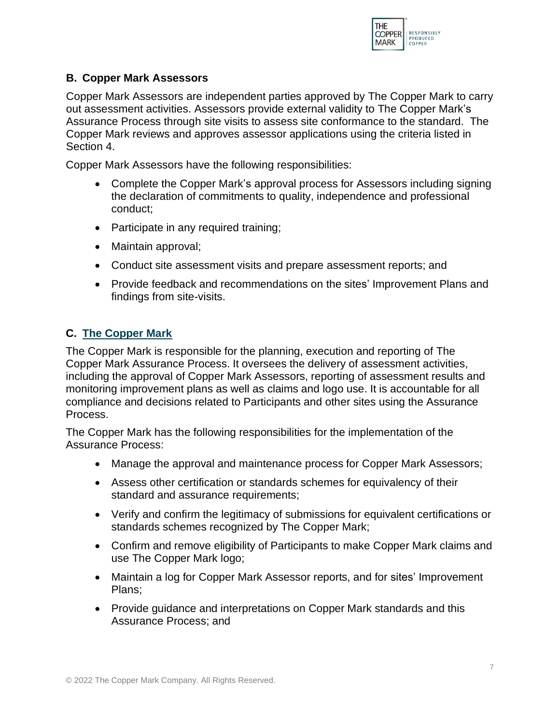

## **B. Copper Mark Assessors**

Copper Mark Assessors are independent parties approved by The Copper Mark to carry out assessment activities. Assessors provide external validity to The Copper Mark's Assurance Process through site visits to assess site conformance to the standard. The Copper Mark reviews and approves assessor applications using the criteria listed in Section 4.

Copper Mark Assessors have the following responsibilities:

- Complete the Copper Mark's approval process for Assessors including signing the declaration of commitments to quality, independence and professional conduct;
- Participate in any required training;
- Maintain approval;
- Conduct site assessment visits and prepare assessment reports; and
- Provide feedback and recommendations on the sites' Improvement Plans and findings from site-visits.

# **C. [The Copper Mark](#page-37-1)**

The Copper Mark is responsible for the planning, execution and reporting of The Copper Mark Assurance Process. It oversees the delivery of assessment activities, including the approval of Copper Mark Assessors, reporting of assessment results and monitoring improvement plans as well as claims and logo use. It is accountable for all compliance and decisions related to Participants and other sites using the Assurance Process.

The Copper Mark has the following responsibilities for the implementation of the Assurance Process:

- Manage the approval and maintenance process for Copper Mark Assessors;
- Assess other certification or standards schemes for equivalency of their standard and assurance requirements;
- Verify and confirm the legitimacy of submissions for equivalent certifications or standards schemes recognized by The Copper Mark;
- Confirm and remove eligibility of Participants to make Copper Mark claims and use The Copper Mark logo;
- Maintain a log for Copper Mark Assessor reports, and for sites' Improvement Plans;
- Provide guidance and interpretations on Copper Mark standards and this Assurance Process; and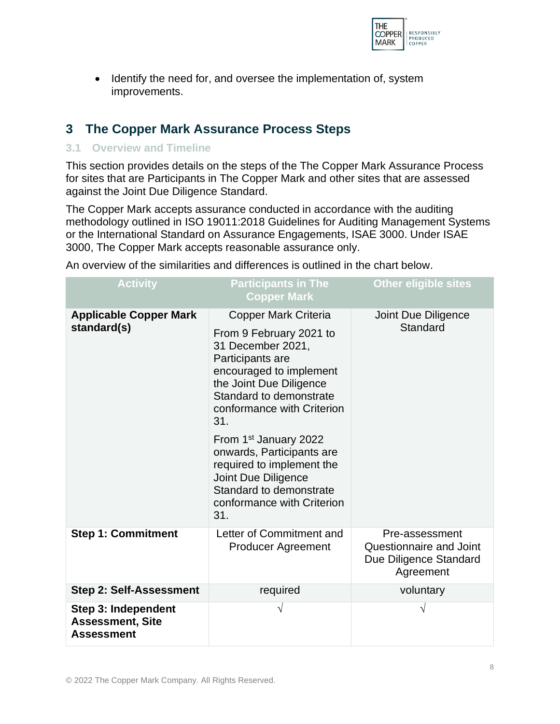

• Identify the need for, and oversee the implementation of, system improvements.

# <span id="page-8-0"></span>**3 The Copper Mark Assurance Process Steps**

#### <span id="page-8-1"></span>**3.1 Overview and Timeline**

This section provides details on the steps of the The Copper Mark Assurance Process for sites that are Participants in The Copper Mark and other sites that are assessed against the Joint Due Diligence Standard.

The Copper Mark accepts assurance conducted in accordance with the auditing methodology outlined in ISO 19011:2018 Guidelines for Auditing Management Systems or the International Standard on Assurance Engagements, ISAE 3000. Under ISAE 3000, The Copper Mark accepts reasonable assurance only.

| <b>Activity</b>                                                     | <b>Participants in The</b><br><b>Copper Mark</b>                                                                                                                                                                                                                                                              | <b>Other eligible sites</b>                                                      |
|---------------------------------------------------------------------|---------------------------------------------------------------------------------------------------------------------------------------------------------------------------------------------------------------------------------------------------------------------------------------------------------------|----------------------------------------------------------------------------------|
| <b>Applicable Copper Mark</b><br>standard(s)                        | Copper Mark Criteria<br>From 9 February 2021 to<br>31 December 2021,<br>Participants are<br>encouraged to implement<br>the Joint Due Diligence<br>Standard to demonstrate<br>conformance with Criterion<br>31.<br>From 1 <sup>st</sup> January 2022<br>onwards, Participants are<br>required to implement the | <b>Joint Due Diligence</b><br>Standard                                           |
|                                                                     | Joint Due Diligence<br>Standard to demonstrate<br>conformance with Criterion<br>31.                                                                                                                                                                                                                           |                                                                                  |
| <b>Step 1: Commitment</b>                                           | Letter of Commitment and<br><b>Producer Agreement</b>                                                                                                                                                                                                                                                         | Pre-assessment<br>Questionnaire and Joint<br>Due Diligence Standard<br>Agreement |
| <b>Step 2: Self-Assessment</b>                                      | required                                                                                                                                                                                                                                                                                                      | voluntary                                                                        |
| Step 3: Independent<br><b>Assessment, Site</b><br><b>Assessment</b> |                                                                                                                                                                                                                                                                                                               | N                                                                                |

An overview of the similarities and differences is outlined in the chart below.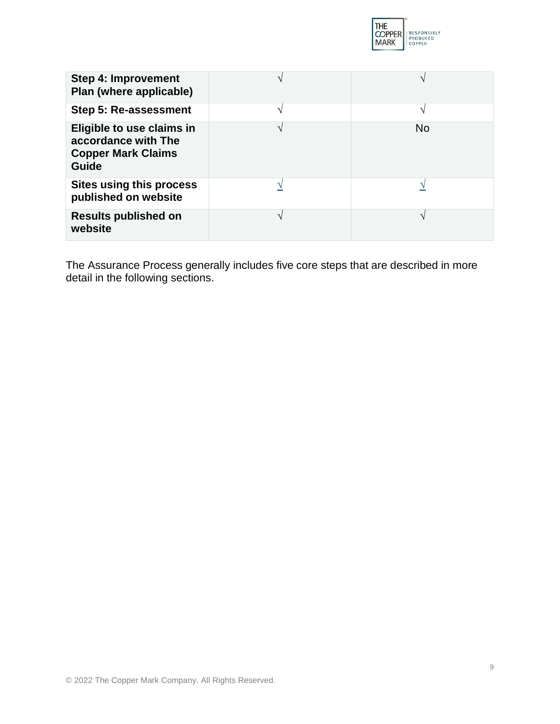

| <b>Step 4: Improvement</b><br>Plan (where applicable)                                  |           |
|----------------------------------------------------------------------------------------|-----------|
| Step 5: Re-assessment                                                                  | N         |
| Eligible to use claims in<br>accordance with The<br><b>Copper Mark Claims</b><br>Guide | <b>No</b> |
| <b>Sites using this process</b><br>published on website                                |           |
| <b>Results published on</b><br>website                                                 | N         |

The Assurance Process generally includes five core steps that are described in more detail in the following sections.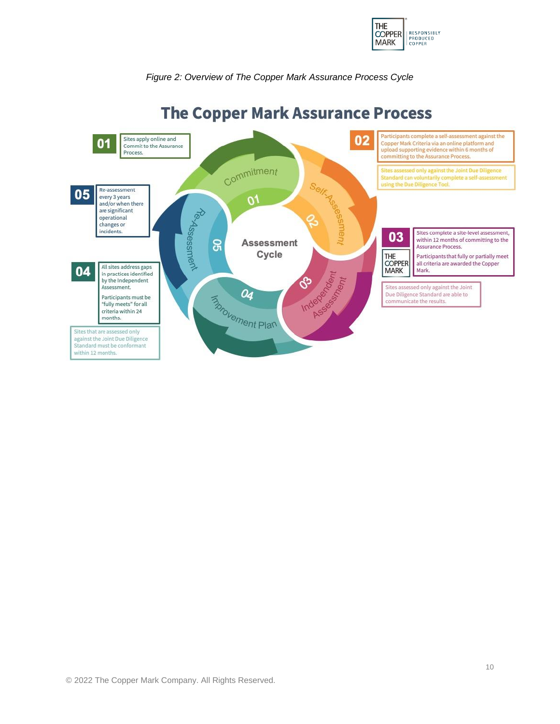

#### *Figure 2: Overview of The Copper Mark Assurance Process Cycle*



# **The Copper Mark Assurance Process**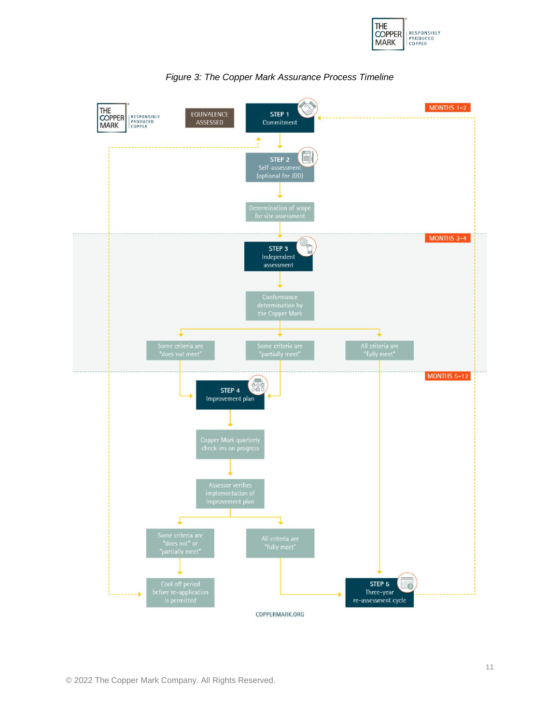



*Figure 3: The Copper Mark Assurance Process Timeline*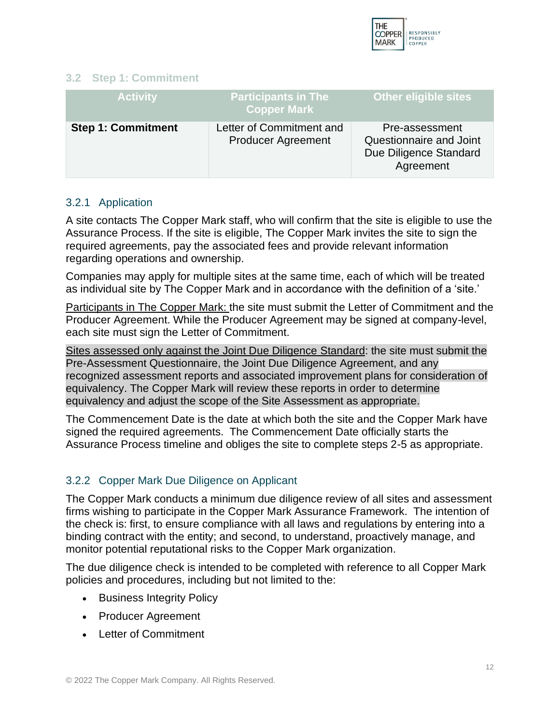

#### <span id="page-12-0"></span>**3.2 Step 1: Commitment**

| <b>Activity</b>           | <b>Participants in The</b><br><b>Copper Mark</b>      | <b>Other eligible sites</b>                                                      |
|---------------------------|-------------------------------------------------------|----------------------------------------------------------------------------------|
| <b>Step 1: Commitment</b> | Letter of Commitment and<br><b>Producer Agreement</b> | Pre-assessment<br>Questionnaire and Joint<br>Due Diligence Standard<br>Agreement |

#### <span id="page-12-1"></span>3.2.1 Application

A site contacts The Copper Mark staff, who will confirm that the site is eligible to use the Assurance Process. If the site is eligible, The Copper Mark invites the site to sign the required agreements, pay the associated fees and provide relevant information regarding operations and ownership.

Companies may apply for multiple sites at the same time, each of which will be treated as individual site by The Copper Mark and in accordance with the definition of a 'site.'

Participants in The Copper Mark: the site must submit the Letter of Commitment and the Producer Agreement. While the Producer Agreement may be signed at company-level, each site must sign the Letter of Commitment.

Sites assessed only against the Joint Due Diligence Standard: the site must submit the Pre-Assessment Questionnaire, the Joint Due Diligence Agreement, and any recognized assessment reports and associated improvement plans for consideration of equivalency. The Copper Mark will review these reports in order to determine equivalency and adjust the scope of the Site Assessment as appropriate.

The Commencement Date is the date at which both the site and the Copper Mark have signed the required agreements. The Commencement Date officially starts the Assurance Process timeline and obliges the site to complete steps 2-5 as appropriate.

#### <span id="page-12-2"></span>3.2.2 Copper Mark Due Diligence on Applicant

The Copper Mark conducts a minimum due diligence review of all sites and assessment firms wishing to participate in the Copper Mark Assurance Framework. The intention of the check is: first, to ensure compliance with all laws and regulations by entering into a binding contract with the entity; and second, to understand, proactively manage, and monitor potential reputational risks to the Copper Mark organization.

The due diligence check is intended to be completed with reference to all Copper Mark policies and procedures, including but not limited to the:

- Business Integrity Policy
- Producer Agreement
- Letter of Commitment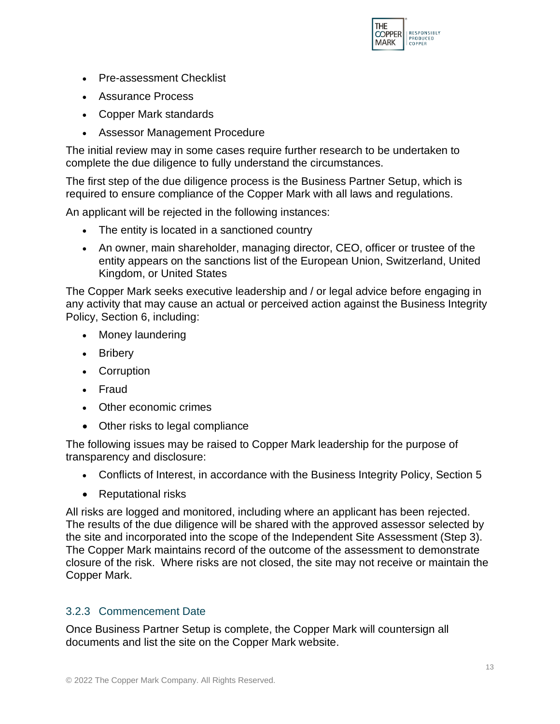

- Pre-assessment Checklist
- Assurance Process
- Copper Mark standards
- Assessor Management Procedure

The initial review may in some cases require further research to be undertaken to complete the due diligence to fully understand the circumstances.

The first step of the due diligence process is the Business Partner Setup, which is required to ensure compliance of the Copper Mark with all laws and regulations.

An applicant will be rejected in the following instances:

- The entity is located in a sanctioned country
- An owner, main shareholder, managing director, CEO, officer or trustee of the entity appears on the sanctions list of the European Union, Switzerland, United Kingdom, or United States

The Copper Mark seeks executive leadership and / or legal advice before engaging in any activity that may cause an actual or perceived action against the Business Integrity Policy, Section 6, including:

- Money laundering
- Bribery
- Corruption
- Fraud
- Other economic crimes
- Other risks to legal compliance

The following issues may be raised to Copper Mark leadership for the purpose of transparency and disclosure:

- Conflicts of Interest, in accordance with the Business Integrity Policy, Section 5
- Reputational risks

All risks are logged and monitored, including where an applicant has been rejected. The results of the due diligence will be shared with the approved assessor selected by the site and incorporated into the scope of the Independent Site Assessment (Step 3). The Copper Mark maintains record of the outcome of the assessment to demonstrate closure of the risk. Where risks are not closed, the site may not receive or maintain the Copper Mark.

# <span id="page-13-0"></span>3.2.3 Commencement Date

Once Business Partner Setup is complete, the Copper Mark will countersign all documents and list the site on the Copper Mark website.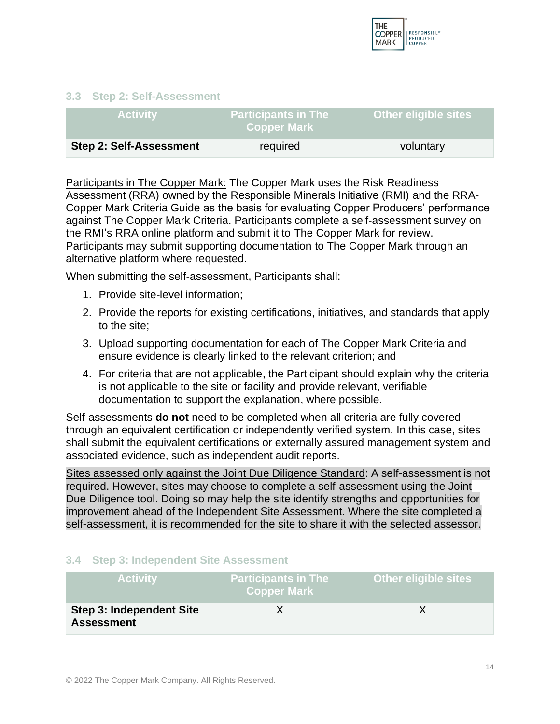

#### <span id="page-14-0"></span>**3.3 Step 2: Self-Assessment**

| <b>Activity</b>                | <b>Participants in The</b><br><b>Copper Mark</b> | <b>Other eligible sites</b> |
|--------------------------------|--------------------------------------------------|-----------------------------|
| <b>Step 2: Self-Assessment</b> | required                                         | voluntary                   |

Participants in The Copper Mark: The Copper Mark uses the Risk Readiness Assessment (RRA) owned by the Responsible Minerals Initiative (RMI) and the RRA-Copper Mark Criteria Guide as the basis for evaluating Copper Producers' performance against The Copper Mark Criteria. Participants complete a self-assessment survey on the RMI's RRA online platform and submit it to The Copper Mark for review. Participants may submit supporting documentation to The Copper Mark through an alternative platform where requested.

When submitting the self-assessment, Participants shall:

- 1. Provide site-level information;
- 2. Provide the reports for existing certifications, initiatives, and standards that apply to the site;
- 3. Upload supporting documentation for each of The Copper Mark Criteria and ensure evidence is clearly linked to the relevant criterion; and
- 4. For criteria that are not applicable, the Participant should explain why the criteria is not applicable to the site or facility and provide relevant, verifiable documentation to support the explanation, where possible.

Self-assessments **do not** need to be completed when all criteria are fully covered through an equivalent certification or independently verified system. In this case, sites shall submit the equivalent certifications or externally assured management system and associated evidence, such as independent audit reports.

Sites assessed only against the Joint Due Diligence Standard: A self-assessment is not required. However, sites may choose to complete a self-assessment using the Joint Due Diligence tool. Doing so may help the site identify strengths and opportunities for improvement ahead of the Independent Site Assessment. Where the site completed a self-assessment, it is recommended for the site to share it with the selected assessor.

#### <span id="page-14-1"></span>**3.4 Step 3: Independent Site Assessment**

| <b>Activity</b>                               | Participants in The l<br><b>Copper Mark</b> | <b>Other eligible sites</b> |
|-----------------------------------------------|---------------------------------------------|-----------------------------|
| Step 3: Independent Site<br><b>Assessment</b> |                                             |                             |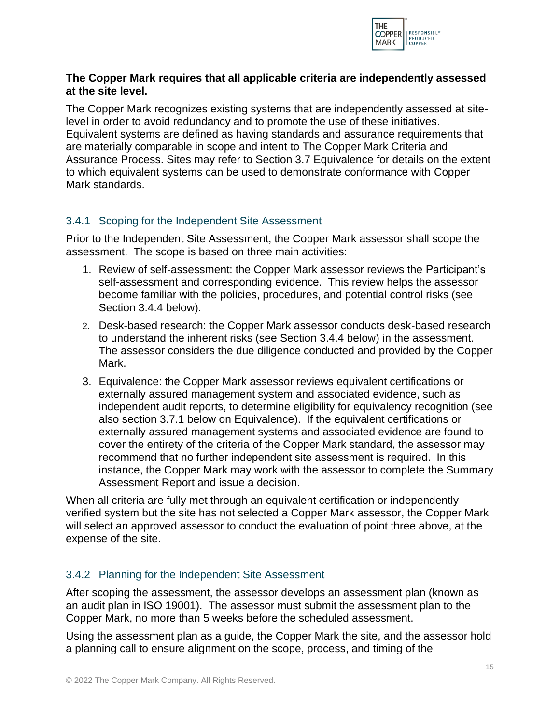

## **The Copper Mark requires that all applicable criteria are independently assessed at the site level.**

The Copper Mark recognizes existing systems that are independently assessed at sitelevel in order to avoid redundancy and to promote the use of these initiatives. Equivalent systems are defined as having standards and assurance requirements that are materially comparable in scope and intent to The Copper Mark Criteria and Assurance Process. Sites may refer to Section 3.7 Equivalence for details on the extent to which equivalent systems can be used to demonstrate conformance with Copper Mark standards.

## <span id="page-15-0"></span>3.4.1 Scoping for the Independent Site Assessment

Prior to the Independent Site Assessment, the Copper Mark assessor shall scope the assessment. The scope is based on three main activities:

- 1. Review of self-assessment: the Copper Mark assessor reviews the Participant's self-assessment and corresponding evidence. This review helps the assessor become familiar with the policies, procedures, and potential control risks (see Section 3.4.4 below).
- 2. Desk-based research: the Copper Mark assessor conducts desk-based research to understand the inherent risks (see Section 3.4.4 below) in the assessment. The assessor considers the due diligence conducted and provided by the Copper Mark.
- 3. Equivalence: the Copper Mark assessor reviews equivalent certifications or externally assured management system and associated evidence, such as independent audit reports, to determine eligibility for equivalency recognition (see also section 3.7.1 below on Equivalence). If the equivalent certifications or externally assured management systems and associated evidence are found to cover the entirety of the criteria of the Copper Mark standard, the assessor may recommend that no further independent site assessment is required. In this instance, the Copper Mark may work with the assessor to complete the Summary Assessment Report and issue a decision.

When all criteria are fully met through an equivalent certification or independently verified system but the site has not selected a Copper Mark assessor, the Copper Mark will select an approved assessor to conduct the evaluation of point three above, at the expense of the site.

# <span id="page-15-1"></span>3.4.2 Planning for the Independent Site Assessment

After scoping the assessment, the assessor develops an assessment plan (known as an audit plan in ISO 19001). The assessor must submit the assessment plan to the Copper Mark, no more than 5 weeks before the scheduled assessment.

Using the assessment plan as a guide, the Copper Mark the site, and the assessor hold a planning call to ensure alignment on the scope, process, and timing of the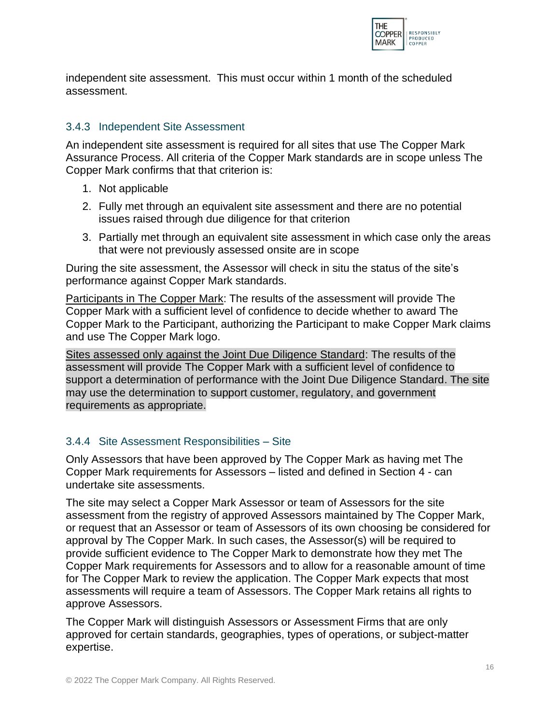

independent site assessment. This must occur within 1 month of the scheduled assessment.

## <span id="page-16-0"></span>3.4.3 Independent Site Assessment

An independent site assessment is required for all sites that use The Copper Mark Assurance Process. All criteria of the Copper Mark standards are in scope unless The Copper Mark confirms that that criterion is:

- 1. Not applicable
- 2. Fully met through an equivalent site assessment and there are no potential issues raised through due diligence for that criterion
- 3. Partially met through an equivalent site assessment in which case only the areas that were not previously assessed onsite are in scope

During the site assessment, the Assessor will check in situ the status of the site's performance against Copper Mark standards.

Participants in The Copper Mark: The results of the assessment will provide The Copper Mark with a sufficient level of confidence to decide whether to award The Copper Mark to the Participant, authorizing the Participant to make Copper Mark claims and use The Copper Mark logo.

Sites assessed only against the Joint Due Diligence Standard: The results of the assessment will provide The Copper Mark with a sufficient level of confidence to support a determination of performance with the Joint Due Diligence Standard. The site may use the determination to support customer, regulatory, and government requirements as appropriate.

# <span id="page-16-1"></span>3.4.4 Site Assessment Responsibilities – Site

Only Assessors that have been approved by The Copper Mark as having met The Copper Mark requirements for Assessors – listed and defined in Section 4 - can undertake site assessments.

The site may select a Copper Mark Assessor or team of Assessors for the site assessment from the registry of approved Assessors maintained by The Copper Mark, or request that an Assessor or team of Assessors of its own choosing be considered for approval by The Copper Mark. In such cases, the Assessor(s) will be required to provide sufficient evidence to The Copper Mark to demonstrate how they met The Copper Mark requirements for Assessors and to allow for a reasonable amount of time for The Copper Mark to review the application. The Copper Mark expects that most assessments will require a team of Assessors. The Copper Mark retains all rights to approve Assessors.

The Copper Mark will distinguish Assessors or Assessment Firms that are only approved for certain standards, geographies, types of operations, or subject-matter expertise.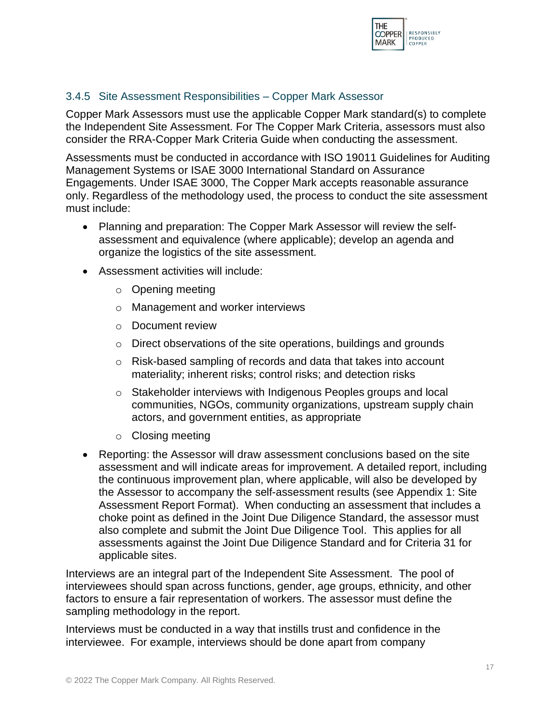

## <span id="page-17-0"></span>3.4.5 Site Assessment Responsibilities – Copper Mark Assessor

Copper Mark Assessors must use the applicable Copper Mark standard(s) to complete the Independent Site Assessment. For The Copper Mark Criteria, assessors must also consider the RRA-Copper Mark Criteria Guide when conducting the assessment.

Assessments must be conducted in accordance with ISO 19011 Guidelines for Auditing Management Systems or ISAE 3000 International Standard on Assurance Engagements. Under ISAE 3000, The Copper Mark accepts reasonable assurance only. Regardless of the methodology used, the process to conduct the site assessment must include:

- Planning and preparation: The Copper Mark Assessor will review the selfassessment and equivalence (where applicable); develop an agenda and organize the logistics of the site assessment.
- Assessment activities will include:
	- o Opening meeting
	- o Management and worker interviews
	- o Document review
	- o Direct observations of the site operations, buildings and grounds
	- o Risk-based sampling of records and data that takes into account materiality; inherent risks; control risks; and detection risks
	- o Stakeholder interviews with Indigenous Peoples groups and local communities, NGOs, community organizations, upstream supply chain actors, and government entities, as appropriate
	- o Closing meeting
- Reporting: the Assessor will draw assessment conclusions based on the site assessment and will indicate areas for improvement. A detailed report, including the continuous improvement plan, where applicable, will also be developed by the Assessor to accompany the self-assessment results (see Appendix 1: Site Assessment Report Format). When conducting an assessment that includes a choke point as defined in the Joint Due Diligence Standard, the assessor must also complete and submit the Joint Due Diligence Tool. This applies for all assessments against the Joint Due Diligence Standard and for Criteria 31 for applicable sites.

Interviews are an integral part of the Independent Site Assessment. The pool of interviewees should span across functions, gender, age groups, ethnicity, and other factors to ensure a fair representation of workers. The assessor must define the sampling methodology in the report.

Interviews must be conducted in a way that instills trust and confidence in the interviewee. For example, interviews should be done apart from company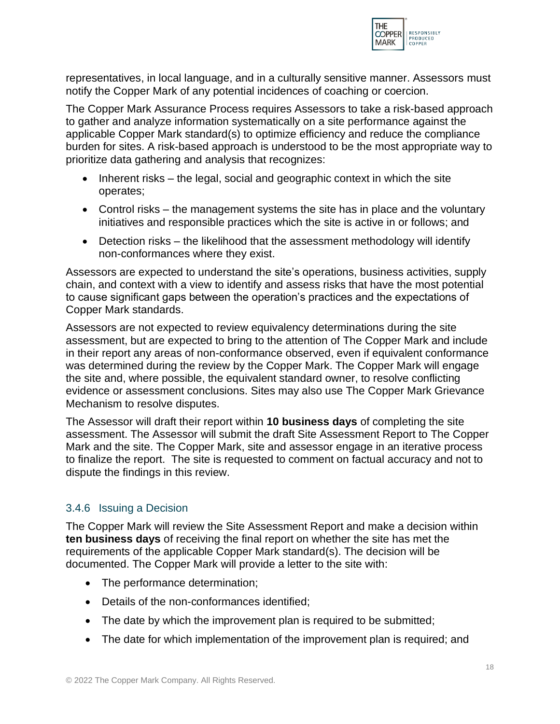

representatives, in local language, and in a culturally sensitive manner. Assessors must notify the Copper Mark of any potential incidences of coaching or coercion.

The Copper Mark Assurance Process requires Assessors to take a risk-based approach to gather and analyze information systematically on a site performance against the applicable Copper Mark standard(s) to optimize efficiency and reduce the compliance burden for sites. A risk-based approach is understood to be the most appropriate way to prioritize data gathering and analysis that recognizes:

- Inherent risks the legal, social and geographic context in which the site operates;
- Control risks the management systems the site has in place and the voluntary initiatives and responsible practices which the site is active in or follows; and
- Detection risks the likelihood that the assessment methodology will identify non-conformances where they exist.

Assessors are expected to understand the site's operations, business activities, supply chain, and context with a view to identify and assess risks that have the most potential to cause significant gaps between the operation's practices and the expectations of Copper Mark standards.

Assessors are not expected to review equivalency determinations during the site assessment, but are expected to bring to the attention of The Copper Mark and include in their report any areas of non-conformance observed, even if equivalent conformance was determined during the review by the Copper Mark. The Copper Mark will engage the site and, where possible, the equivalent standard owner, to resolve conflicting evidence or assessment conclusions. Sites may also use The Copper Mark Grievance Mechanism to resolve disputes.

The Assessor will draft their report within **10 business days** of completing the site assessment. The Assessor will submit the draft Site Assessment Report to The Copper Mark and the site. The Copper Mark, site and assessor engage in an iterative process to finalize the report. The site is requested to comment on factual accuracy and not to dispute the findings in this review.

# <span id="page-18-0"></span>3.4.6 Issuing a Decision

The Copper Mark will review the Site Assessment Report and make a decision within **ten business days** of receiving the final report on whether the site has met the requirements of the applicable Copper Mark standard(s). The decision will be documented. The Copper Mark will provide a letter to the site with:

- The performance determination;
- Details of the non-conformances identified;
- The date by which the improvement plan is required to be submitted;
- The date for which implementation of the improvement plan is required; and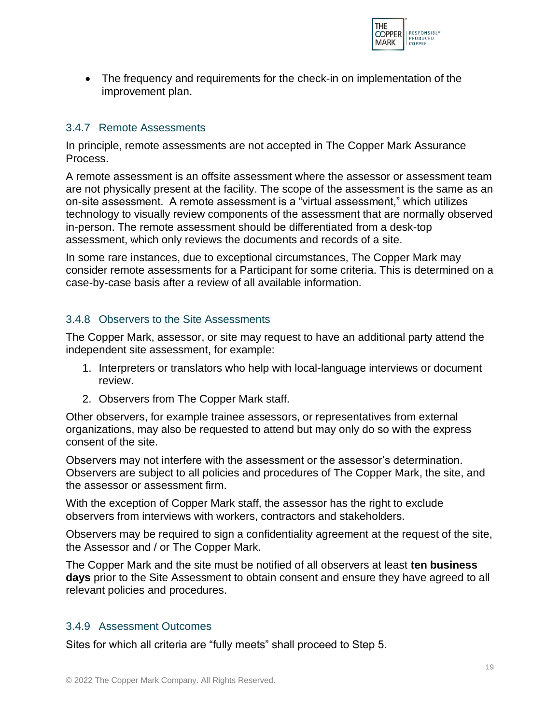

• The frequency and requirements for the check-in on implementation of the improvement plan.

#### <span id="page-19-0"></span>3.4.7 Remote Assessments

In principle, remote assessments are not accepted in The Copper Mark Assurance Process.

A remote assessment is an offsite assessment where the assessor or assessment team are not physically present at the facility. The scope of the assessment is the same as an on-site assessment. A remote assessment is a "virtual assessment," which utilizes technology to visually review components of the assessment that are normally observed in-person. The remote assessment should be differentiated from a desk-top assessment, which only reviews the documents and records of a site.

In some rare instances, due to exceptional circumstances, The Copper Mark may consider remote assessments for a Participant for some criteria. This is determined on a case-by-case basis after a review of all available information.

## <span id="page-19-1"></span>3.4.8 Observers to the Site Assessments

The Copper Mark, assessor, or site may request to have an additional party attend the independent site assessment, for example:

- 1. Interpreters or translators who help with local-language interviews or document review.
- 2. Observers from The Copper Mark staff.

Other observers, for example trainee assessors, or representatives from external organizations, may also be requested to attend but may only do so with the express consent of the site.

Observers may not interfere with the assessment or the assessor's determination. Observers are subject to all policies and procedures of The Copper Mark, the site, and the assessor or assessment firm.

With the exception of Copper Mark staff, the assessor has the right to exclude observers from interviews with workers, contractors and stakeholders.

Observers may be required to sign a confidentiality agreement at the request of the site, the Assessor and / or The Copper Mark.

The Copper Mark and the site must be notified of all observers at least **ten business days** prior to the Site Assessment to obtain consent and ensure they have agreed to all relevant policies and procedures.

#### <span id="page-19-2"></span>3.4.9 Assessment Outcomes

Sites for which all criteria are "fully meets" shall proceed to Step 5.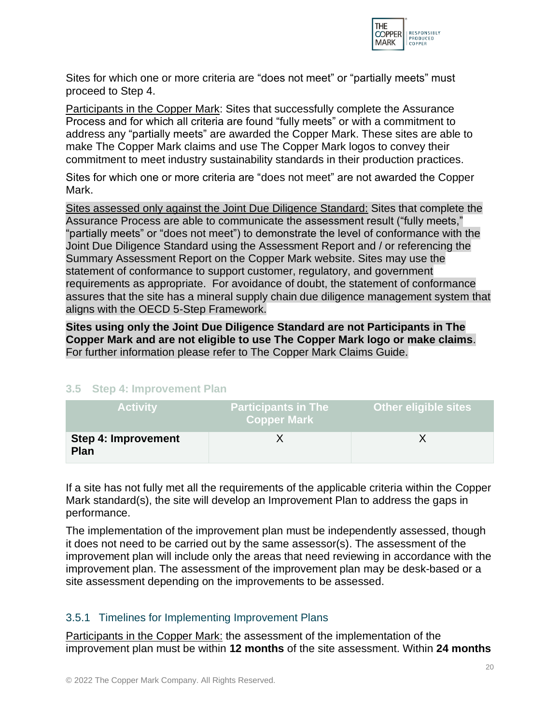

Sites for which one or more criteria are "does not meet" or "partially meets" must proceed to Step 4.

Participants in the Copper Mark: Sites that successfully complete the Assurance Process and for which all criteria are found "fully meets" or with a commitment to address any "partially meets" are awarded the Copper Mark. These sites are able to make The Copper Mark claims and use The Copper Mark logos to convey their commitment to meet industry sustainability standards in their production practices.

Sites for which one or more criteria are "does not meet" are not awarded the Copper Mark.

Sites assessed only against the Joint Due Diligence Standard: Sites that complete the Assurance Process are able to communicate the assessment result ("fully meets," "partially meets" or "does not meet") to demonstrate the level of conformance with the Joint Due Diligence Standard using the Assessment Report and / or referencing the Summary Assessment Report on the Copper Mark website. Sites may use the statement of conformance to support customer, regulatory, and government requirements as appropriate. For avoidance of doubt, the statement of conformance assures that the site has a mineral supply chain due diligence management system that aligns with the OECD 5-Step Framework.

**Sites using only the Joint Due Diligence Standard are not Participants in The Copper Mark and are not eligible to use The Copper Mark logo or make claims**. For further information please refer to The Copper Mark Claims Guide.

# <span id="page-20-0"></span>**3.5 Step 4: Improvement Plan**

| <b>Activity</b>                           | <b>Participants in The</b><br><b>Copper Mark</b> | <b>Other eligible sites</b> |
|-------------------------------------------|--------------------------------------------------|-----------------------------|
| <b>Step 4: Improvement</b><br><b>Plan</b> |                                                  |                             |

If a site has not fully met all the requirements of the applicable criteria within the Copper Mark standard(s), the site will develop an Improvement Plan to address the gaps in performance.

The implementation of the improvement plan must be independently assessed, though it does not need to be carried out by the same assessor(s). The assessment of the improvement plan will include only the areas that need reviewing in accordance with the improvement plan. The assessment of the improvement plan may be desk-based or a site assessment depending on the improvements to be assessed.

#### <span id="page-20-1"></span>3.5.1 Timelines for Implementing Improvement Plans

Participants in the Copper Mark: the assessment of the implementation of the improvement plan must be within **12 months** of the site assessment. Within **24 months**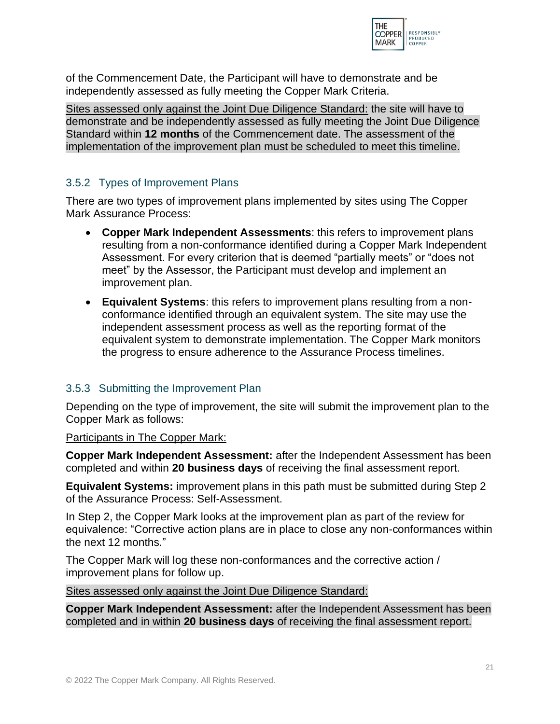

of the Commencement Date, the Participant will have to demonstrate and be independently assessed as fully meeting the Copper Mark Criteria.

Sites assessed only against the Joint Due Diligence Standard: the site will have to demonstrate and be independently assessed as fully meeting the Joint Due Diligence Standard within **12 months** of the Commencement date. The assessment of the implementation of the improvement plan must be scheduled to meet this timeline.

## <span id="page-21-0"></span>3.5.2 Types of Improvement Plans

There are two types of improvement plans implemented by sites using The Copper Mark Assurance Process:

- **Copper Mark Independent Assessments**: this refers to improvement plans resulting from a non-conformance identified during a Copper Mark Independent Assessment. For every criterion that is deemed "partially meets" or "does not meet" by the Assessor, the Participant must develop and implement an improvement plan.
- **Equivalent Systems**: this refers to improvement plans resulting from a nonconformance identified through an equivalent system. The site may use the independent assessment process as well as the reporting format of the equivalent system to demonstrate implementation. The Copper Mark monitors the progress to ensure adherence to the Assurance Process timelines.

#### <span id="page-21-1"></span>3.5.3 Submitting the Improvement Plan

Depending on the type of improvement, the site will submit the improvement plan to the Copper Mark as follows:

#### Participants in The Copper Mark:

**Copper Mark Independent Assessment:** after the Independent Assessment has been completed and within **20 business days** of receiving the final assessment report.

**Equivalent Systems:** improvement plans in this path must be submitted during Step 2 of the Assurance Process: Self-Assessment.

In Step 2, the Copper Mark looks at the improvement plan as part of the review for equivalence: "Corrective action plans are in place to close any non-conformances within the next 12 months."

The Copper Mark will log these non-conformances and the corrective action / improvement plans for follow up.

Sites assessed only against the Joint Due Diligence Standard:

**Copper Mark Independent Assessment:** after the Independent Assessment has been completed and in within **20 business days** of receiving the final assessment report.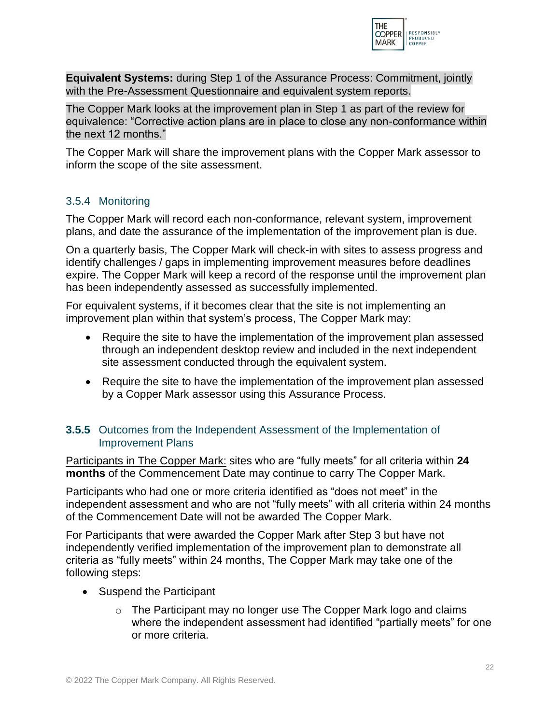

**Equivalent Systems:** during Step 1 of the Assurance Process: Commitment, jointly with the Pre-Assessment Questionnaire and equivalent system reports.

The Copper Mark looks at the improvement plan in Step 1 as part of the review for equivalence: "Corrective action plans are in place to close any non-conformance within the next 12 months."

The Copper Mark will share the improvement plans with the Copper Mark assessor to inform the scope of the site assessment.

# <span id="page-22-0"></span>3.5.4 Monitoring

The Copper Mark will record each non-conformance, relevant system, improvement plans, and date the assurance of the implementation of the improvement plan is due.

On a quarterly basis, The Copper Mark will check-in with sites to assess progress and identify challenges / gaps in implementing improvement measures before deadlines expire. The Copper Mark will keep a record of the response until the improvement plan has been independently assessed as successfully implemented.

For equivalent systems, if it becomes clear that the site is not implementing an improvement plan within that system's process, The Copper Mark may:

- Require the site to have the implementation of the improvement plan assessed through an independent desktop review and included in the next independent site assessment conducted through the equivalent system.
- Require the site to have the implementation of the improvement plan assessed by a Copper Mark assessor using this Assurance Process.

## <span id="page-22-1"></span>**3.5.5** Outcomes from the Independent Assessment of the Implementation of Improvement Plans

Participants in The Copper Mark: sites who are "fully meets" for all criteria within **24 months** of the Commencement Date may continue to carry The Copper Mark.

Participants who had one or more criteria identified as "does not meet" in the independent assessment and who are not "fully meets" with all criteria within 24 months of the Commencement Date will not be awarded The Copper Mark.

For Participants that were awarded the Copper Mark after Step 3 but have not independently verified implementation of the improvement plan to demonstrate all criteria as "fully meets" within 24 months, The Copper Mark may take one of the following steps:

- Suspend the Participant
	- o The Participant may no longer use The Copper Mark logo and claims where the independent assessment had identified "partially meets" for one or more criteria.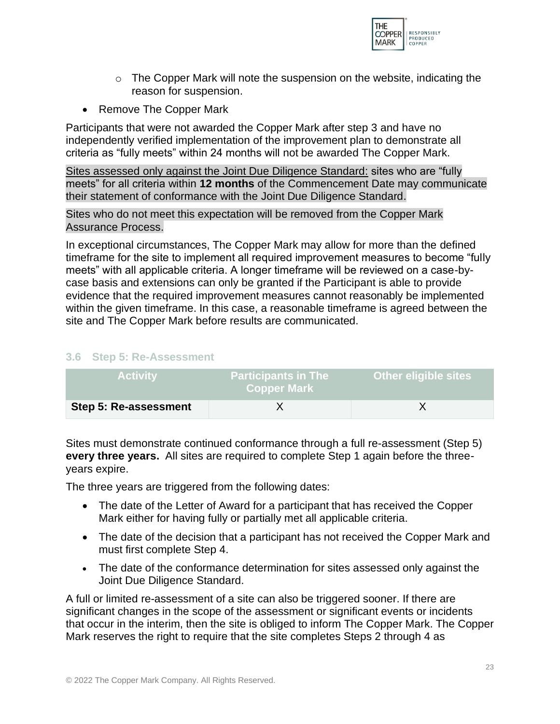

- $\circ$  The Copper Mark will note the suspension on the website, indicating the reason for suspension.
- Remove The Copper Mark

Participants that were not awarded the Copper Mark after step 3 and have no independently verified implementation of the improvement plan to demonstrate all criteria as "fully meets" within 24 months will not be awarded The Copper Mark.

Sites assessed only against the Joint Due Diligence Standard: sites who are "fully meets" for all criteria within **12 months** of the Commencement Date may communicate their statement of conformance with the Joint Due Diligence Standard.

Sites who do not meet this expectation will be removed from the Copper Mark Assurance Process.

In exceptional circumstances, The Copper Mark may allow for more than the defined timeframe for the site to implement all required improvement measures to become "fully meets" with all applicable criteria. A longer timeframe will be reviewed on a case-bycase basis and extensions can only be granted if the Participant is able to provide evidence that the required improvement measures cannot reasonably be implemented within the given timeframe. In this case, a reasonable timeframe is agreed between the site and The Copper Mark before results are communicated.

#### <span id="page-23-0"></span>**3.6 Step 5: Re-Assessment**

| <b>Activity</b>       | <b>Participants in The</b><br><b>Copper Mark</b> | <b>Other eligible sites</b> |
|-----------------------|--------------------------------------------------|-----------------------------|
| Step 5: Re-assessment |                                                  |                             |

Sites must demonstrate continued conformance through a full re-assessment (Step 5) **every three years.** All sites are required to complete Step 1 again before the threeyears expire.

The three years are triggered from the following dates:

- The date of the Letter of Award for a participant that has received the Copper Mark either for having fully or partially met all applicable criteria.
- The date of the decision that a participant has not received the Copper Mark and must first complete Step 4.
- The date of the conformance determination for sites assessed only against the Joint Due Diligence Standard.

A full or limited re-assessment of a site can also be triggered sooner. If there are significant changes in the scope of the assessment or significant events or incidents that occur in the interim, then the site is obliged to inform The Copper Mark. The Copper Mark reserves the right to require that the site completes Steps 2 through 4 as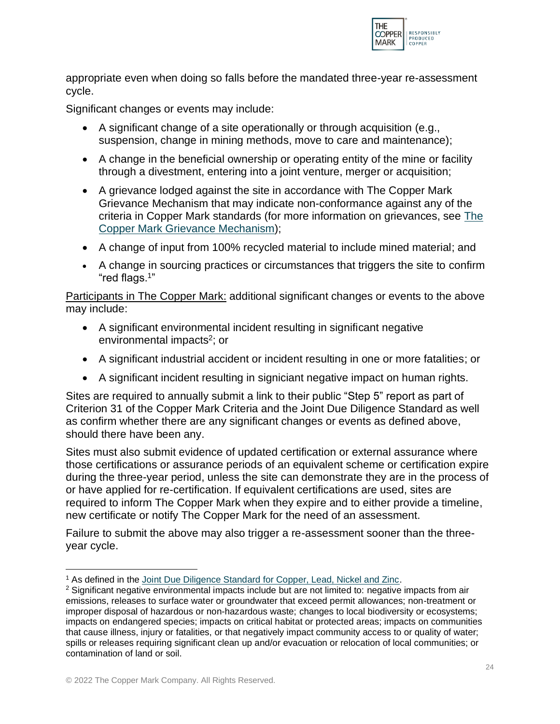

appropriate even when doing so falls before the mandated three-year re-assessment cycle.

Significant changes or events may include:

- A significant change of a site operationally or through acquisition (e.g., suspension, change in mining methods, move to care and maintenance);
- A change in the beneficial ownership or operating entity of the mine or facility through a divestment, entering into a joint venture, merger or acquisition;
- A grievance lodged against the site in accordance with The Copper Mark Grievance Mechanism that may indicate non-conformance against any of the criteria in Copper Mark standards (for more information on grievances, see [The](https://coppermark.org/about/grievance/)  Copper Mark [Grievance Mechanism\)](https://coppermark.org/about/grievance/);
- A change of input from 100% recycled material to include mined material; and
- A change in sourcing practices or circumstances that triggers the site to confirm "red flags.<sup>1</sup> "

Participants in The Copper Mark: additional significant changes or events to the above may include:

- A significant environmental incident resulting in significant negative environmental impacts<sup>2</sup>; or
- A significant industrial accident or incident resulting in one or more fatalities; or
- A significant incident resulting in signiciant negative impact on human rights.

Sites are required to annually submit a link to their public "Step 5" report as part of Criterion 31 of the Copper Mark Criteria and the Joint Due Diligence Standard as well as confirm whether there are any significant changes or events as defined above, should there have been any.

Sites must also submit evidence of updated certification or external assurance where those certifications or assurance periods of an equivalent scheme or certification expire during the three-year period, unless the site can demonstrate they are in the process of or have applied for re-certification. If equivalent certifications are used, sites are required to inform The Copper Mark when they expire and to either provide a timeline, new certificate or notify The Copper Mark for the need of an assessment.

Failure to submit the above may also trigger a re-assessment sooner than the threeyear cycle.

<sup>&</sup>lt;sup>1</sup> As defined in the [Joint Due Diligence Standard for Copper, Lead, Nickel and Zinc.](https://coppermark.org/wp-content/uploads/2021/01/Joint-Due-Diligence-Standard_FINAL_09FEB21.pdf)

<sup>&</sup>lt;sup>2</sup> Significant negative environmental impacts include but are not limited to: negative impacts from air emissions, releases to surface water or groundwater that exceed permit allowances; non-treatment or improper disposal of hazardous or non-hazardous waste; changes to local biodiversity or ecosystems; impacts on endangered species; impacts on critical habitat or protected areas; impacts on communities that cause illness, injury or fatalities, or that negatively impact community access to or quality of water; spills or releases requiring significant clean up and/or evacuation or relocation of local communities; or contamination of land or soil.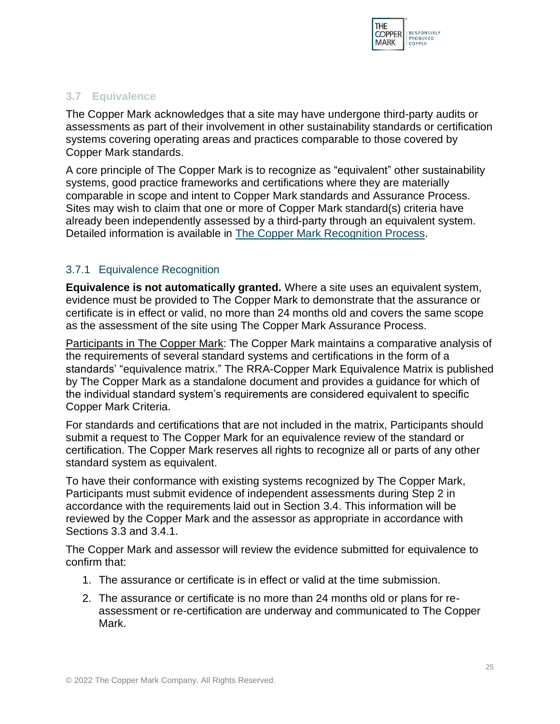

#### <span id="page-25-0"></span>**3.7 Equivalence**

The Copper Mark acknowledges that a site may have undergone third-party audits or assessments as part of their involvement in other sustainability standards or certification systems covering operating areas and practices comparable to those covered by Copper Mark standards.

A core principle of The Copper Mark is to recognize as "equivalent" other sustainability systems, good practice frameworks and certifications where they are materially comparable in scope and intent to Copper Mark standards and Assurance Process. Sites may wish to claim that one or more of Copper Mark standard(s) criteria have already been independently assessed by a third-party through an equivalent system. Detailed information is available in The Copper Mark [Recognition Process.](https://coppermark.org/assurance-process/recognition-and-equivalence/)

## <span id="page-25-1"></span>3.7.1 Equivalence Recognition

**Equivalence is not automatically granted.** Where a site uses an equivalent system, evidence must be provided to The Copper Mark to demonstrate that the assurance or certificate is in effect or valid, no more than 24 months old and covers the same scope as the assessment of the site using The Copper Mark Assurance Process.

Participants in The Copper Mark: The Copper Mark maintains a comparative analysis of the requirements of several standard systems and certifications in the form of a standards' "equivalence matrix." The RRA-Copper Mark Equivalence Matrix is published by The Copper Mark as a standalone document and provides a guidance for which of the individual standard system's requirements are considered equivalent to specific Copper Mark Criteria.

For standards and certifications that are not included in the matrix, Participants should submit a request to The Copper Mark for an equivalence review of the standard or certification. The Copper Mark reserves all rights to recognize all or parts of any other standard system as equivalent.

To have their conformance with existing systems recognized by The Copper Mark, Participants must submit evidence of independent assessments during Step 2 in accordance with the requirements laid out in Section 3.4. This information will be reviewed by the Copper Mark and the assessor as appropriate in accordance with Sections 3.3 and 3.4.1.

The Copper Mark and assessor will review the evidence submitted for equivalence to confirm that:

- 1. The assurance or certificate is in effect or valid at the time submission.
- 2. The assurance or certificate is no more than 24 months old or plans for reassessment or re-certification are underway and communicated to The Copper Mark.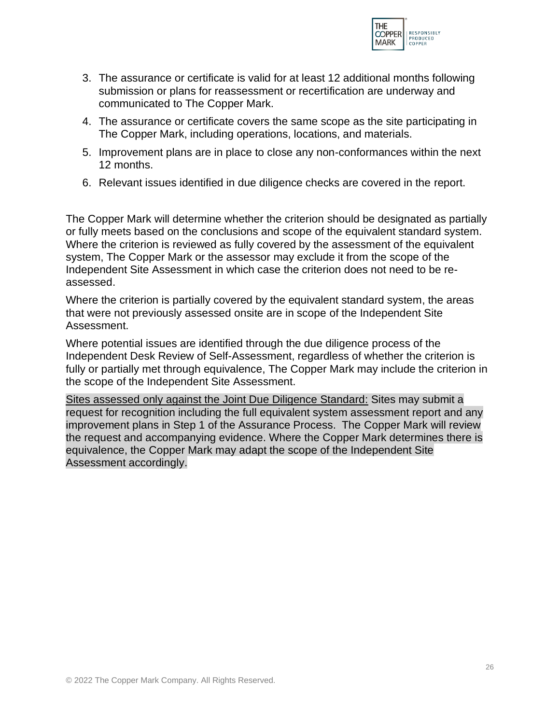

- 3. The assurance or certificate is valid for at least 12 additional months following submission or plans for reassessment or recertification are underway and communicated to The Copper Mark.
- 4. The assurance or certificate covers the same scope as the site participating in The Copper Mark, including operations, locations, and materials.
- 5. Improvement plans are in place to close any non-conformances within the next 12 months.
- 6. Relevant issues identified in due diligence checks are covered in the report.

The Copper Mark will determine whether the criterion should be designated as partially or fully meets based on the conclusions and scope of the equivalent standard system. Where the criterion is reviewed as fully covered by the assessment of the equivalent system, The Copper Mark or the assessor may exclude it from the scope of the Independent Site Assessment in which case the criterion does not need to be reassessed.

Where the criterion is partially covered by the equivalent standard system, the areas that were not previously assessed onsite are in scope of the Independent Site Assessment.

Where potential issues are identified through the due diligence process of the Independent Desk Review of Self-Assessment, regardless of whether the criterion is fully or partially met through equivalence, The Copper Mark may include the criterion in the scope of the Independent Site Assessment.

Sites assessed only against the Joint Due Diligence Standard: Sites may submit a request for recognition including the full equivalent system assessment report and any improvement plans in Step 1 of the Assurance Process. The Copper Mark will review the request and accompanying evidence. Where the Copper Mark determines there is equivalence, the Copper Mark may adapt the scope of the Independent Site Assessment accordingly.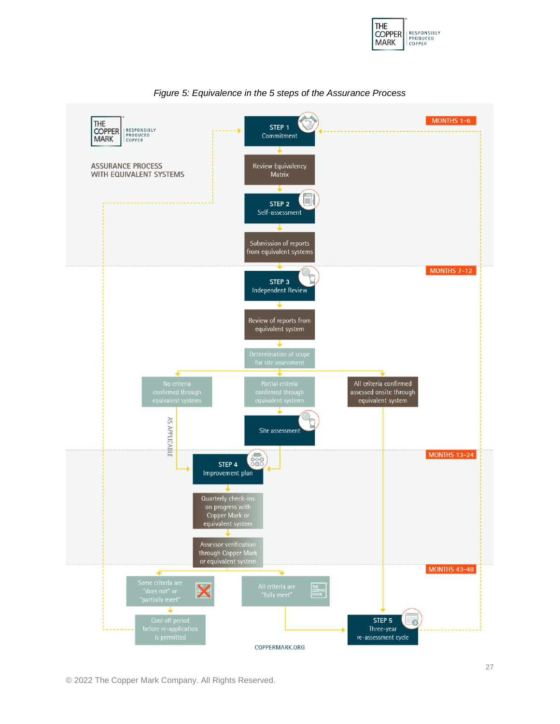



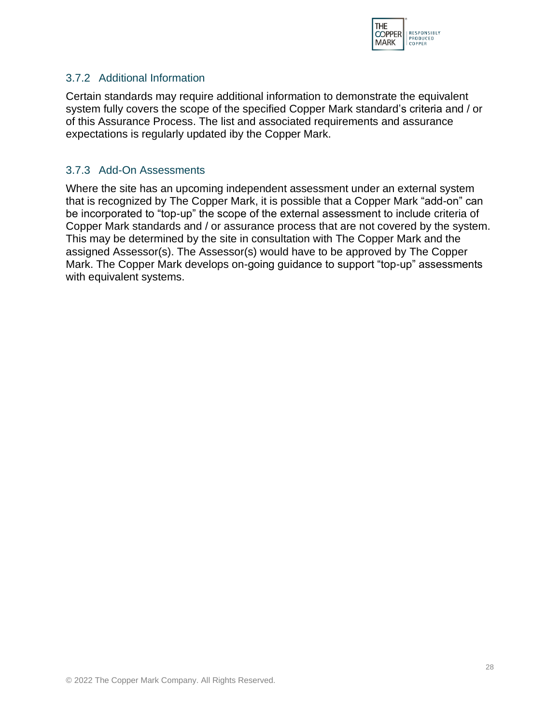

#### <span id="page-28-0"></span>3.7.2 Additional Information

Certain standards may require additional information to demonstrate the equivalent system fully covers the scope of the specified Copper Mark standard's criteria and / or of this Assurance Process. The list and associated requirements and assurance expectations is regularly updated iby the Copper Mark.

#### <span id="page-28-1"></span>3.7.3 Add-On Assessments

Where the site has an upcoming independent assessment under an external system that is recognized by The Copper Mark, it is possible that a Copper Mark "add-on" can be incorporated to "top-up" the scope of the external assessment to include criteria of Copper Mark standards and / or assurance process that are not covered by the system. This may be determined by the site in consultation with The Copper Mark and the assigned Assessor(s). The Assessor(s) would have to be approved by The Copper Mark. The Copper Mark develops on-going guidance to support "top-up" assessments with equivalent systems.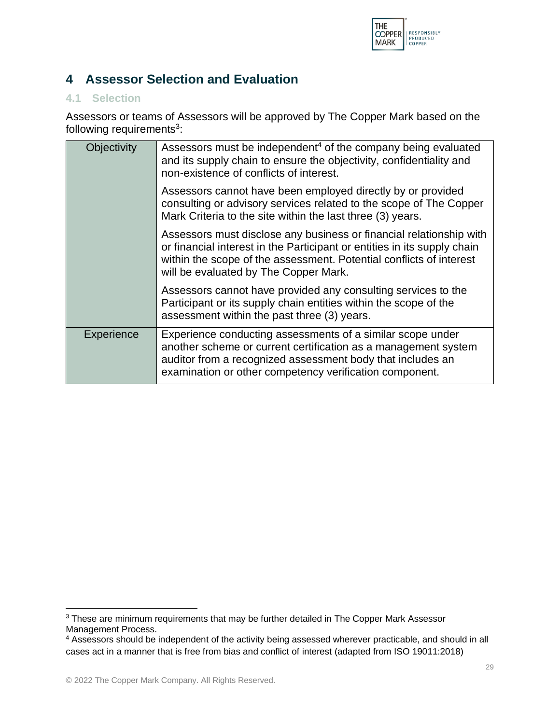

# <span id="page-29-0"></span>**4 Assessor Selection and Evaluation**

#### <span id="page-29-1"></span>**4.1 Selection**

Assessors or teams of Assessors will be approved by The Copper Mark based on the following requirements<sup>3</sup>:

| Objectivity | Assessors must be independent <sup>4</sup> of the company being evaluated<br>and its supply chain to ensure the objectivity, confidentiality and<br>non-existence of conflicts of interest.                                                                     |
|-------------|-----------------------------------------------------------------------------------------------------------------------------------------------------------------------------------------------------------------------------------------------------------------|
|             | Assessors cannot have been employed directly by or provided<br>consulting or advisory services related to the scope of The Copper<br>Mark Criteria to the site within the last three (3) years.                                                                 |
|             | Assessors must disclose any business or financial relationship with<br>or financial interest in the Participant or entities in its supply chain<br>within the scope of the assessment. Potential conflicts of interest<br>will be evaluated by The Copper Mark. |
|             | Assessors cannot have provided any consulting services to the<br>Participant or its supply chain entities within the scope of the<br>assessment within the past three (3) years.                                                                                |
| Experience  | Experience conducting assessments of a similar scope under<br>another scheme or current certification as a management system<br>auditor from a recognized assessment body that includes an<br>examination or other competency verification component.           |

<sup>&</sup>lt;sup>3</sup> These are minimum requirements that may be further detailed in The Copper Mark Assessor Management Process.

<sup>4</sup> Assessors should be independent of the activity being assessed wherever practicable, and should in all cases act in a manner that is free from bias and conflict of interest (adapted from ISO 19011:2018)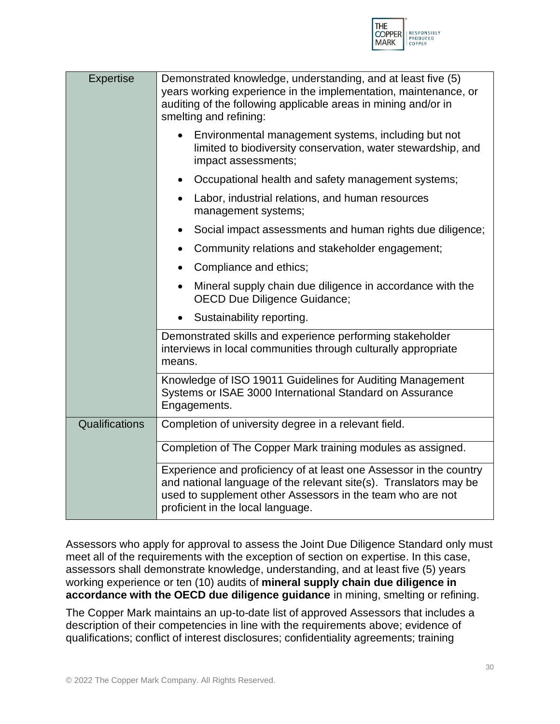

| <b>Expertise</b> | Demonstrated knowledge, understanding, and at least five (5)<br>years working experience in the implementation, maintenance, or<br>auditing of the following applicable areas in mining and/or in<br>smelting and refining:                |
|------------------|--------------------------------------------------------------------------------------------------------------------------------------------------------------------------------------------------------------------------------------------|
|                  | Environmental management systems, including but not<br>$\bullet$<br>limited to biodiversity conservation, water stewardship, and<br>impact assessments;                                                                                    |
|                  | Occupational health and safety management systems;<br>$\bullet$                                                                                                                                                                            |
|                  | Labor, industrial relations, and human resources<br>$\bullet$<br>management systems;                                                                                                                                                       |
|                  | Social impact assessments and human rights due diligence;<br>$\bullet$                                                                                                                                                                     |
|                  | Community relations and stakeholder engagement;<br>$\bullet$                                                                                                                                                                               |
|                  | Compliance and ethics;<br>$\bullet$                                                                                                                                                                                                        |
|                  | Mineral supply chain due diligence in accordance with the<br>$\bullet$<br><b>OECD Due Diligence Guidance;</b>                                                                                                                              |
|                  | Sustainability reporting.                                                                                                                                                                                                                  |
|                  | Demonstrated skills and experience performing stakeholder<br>interviews in local communities through culturally appropriate<br>means.                                                                                                      |
|                  | Knowledge of ISO 19011 Guidelines for Auditing Management<br>Systems or ISAE 3000 International Standard on Assurance<br>Engagements.                                                                                                      |
| Qualifications   | Completion of university degree in a relevant field.                                                                                                                                                                                       |
|                  | Completion of The Copper Mark training modules as assigned.                                                                                                                                                                                |
|                  | Experience and proficiency of at least one Assessor in the country<br>and national language of the relevant site(s). Translators may be<br>used to supplement other Assessors in the team who are not<br>proficient in the local language. |

Assessors who apply for approval to assess the Joint Due Diligence Standard only must meet all of the requirements with the exception of section on expertise. In this case, assessors shall demonstrate knowledge, understanding, and at least five (5) years working experience or ten (10) audits of **mineral supply chain due diligence in accordance with the OECD due diligence guidance** in mining, smelting or refining.

The Copper Mark maintains an up-to-date list of approved Assessors that includes a description of their competencies in line with the requirements above; evidence of qualifications; conflict of interest disclosures; confidentiality agreements; training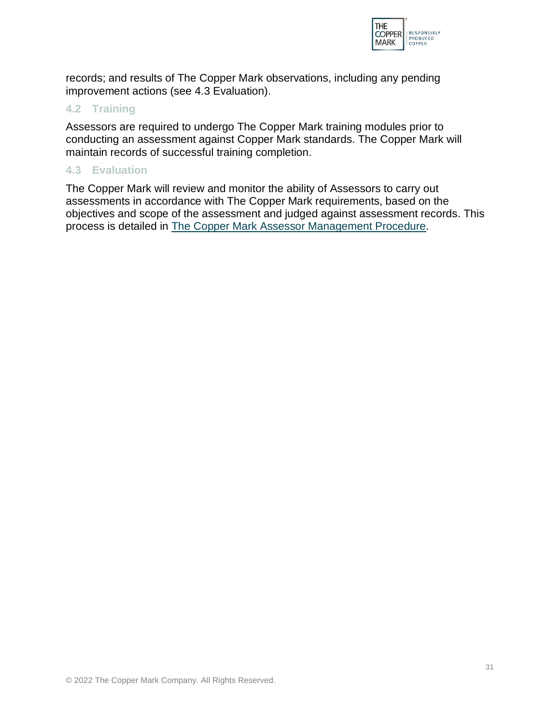

records; and results of The Copper Mark observations, including any pending improvement actions (see 4.3 Evaluation).

#### <span id="page-31-0"></span>**4.2 Training**

Assessors are required to undergo The Copper Mark training modules prior to conducting an assessment against Copper Mark standards. The Copper Mark will maintain records of successful training completion.

#### <span id="page-31-1"></span>**4.3 Evaluation**

The Copper Mark will review and monitor the ability of Assessors to carry out assessments in accordance with The Copper Mark requirements, based on the objectives and scope of the assessment and judged against assessment records. This process is detailed in The Copper Mark [Assessor Management Procedure.](https://coppermark.org/assurance-process/assessors/)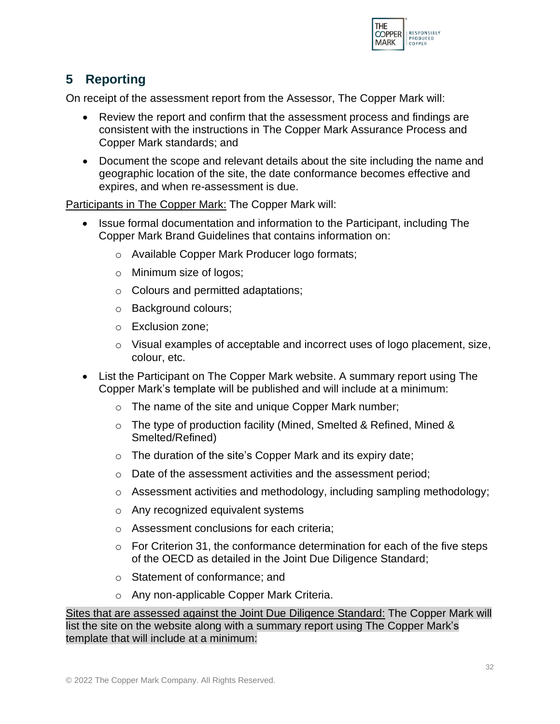

# <span id="page-32-0"></span>**5 Reporting**

On receipt of the assessment report from the Assessor, The Copper Mark will:

- Review the report and confirm that the assessment process and findings are consistent with the instructions in The Copper Mark Assurance Process and Copper Mark standards; and
- Document the scope and relevant details about the site including the name and geographic location of the site, the date conformance becomes effective and expires, and when re-assessment is due.

Participants in The Copper Mark: The Copper Mark will:

- Issue formal documentation and information to the Participant, including The Copper Mark Brand Guidelines that contains information on:
	- o Available Copper Mark Producer logo formats;
	- o Minimum size of logos;
	- o Colours and permitted adaptations;
	- o Background colours;
	- o Exclusion zone;
	- $\circ$  Visual examples of acceptable and incorrect uses of logo placement, size, colour, etc.
- List the Participant on The Copper Mark website. A summary report using The Copper Mark's template will be published and will include at a minimum:
	- o The name of the site and unique Copper Mark number;
	- o The type of production facility (Mined, Smelted & Refined, Mined & Smelted/Refined)
	- $\circ$  The duration of the site's Copper Mark and its expiry date;
	- o Date of the assessment activities and the assessment period;
	- o Assessment activities and methodology, including sampling methodology;
	- o Any recognized equivalent systems
	- o Assessment conclusions for each criteria;
	- $\circ$  For Criterion 31, the conformance determination for each of the five steps of the OECD as detailed in the Joint Due Diligence Standard;
	- o Statement of conformance; and
	- o Any non-applicable Copper Mark Criteria.

Sites that are assessed against the Joint Due Diligence Standard: The Copper Mark will list the site on the website along with a summary report using The Copper Mark's template that will include at a minimum: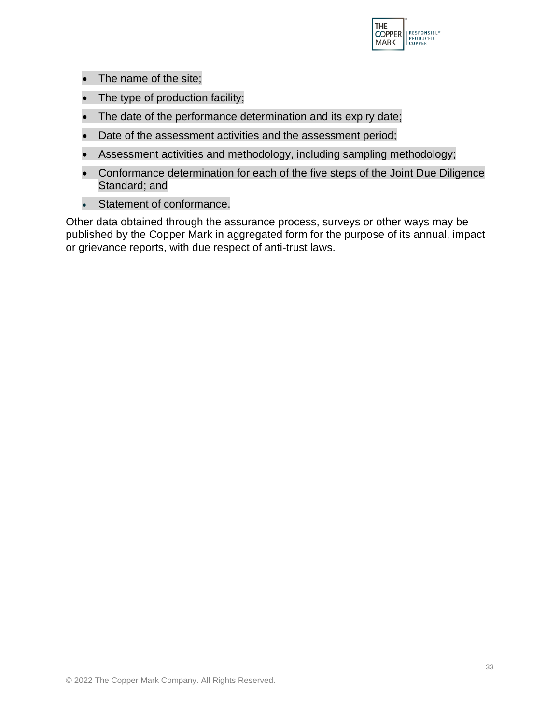

- The name of the site;
- The type of production facility;
- The date of the performance determination and its expiry date;
- Date of the assessment activities and the assessment period;
- Assessment activities and methodology, including sampling methodology;
- Conformance determination for each of the five steps of the Joint Due Diligence Standard; and
- Statement of conformance.

Other data obtained through the assurance process, surveys or other ways may be published by the Copper Mark in aggregated form for the purpose of its annual, impact or grievance reports, with due respect of anti-trust laws.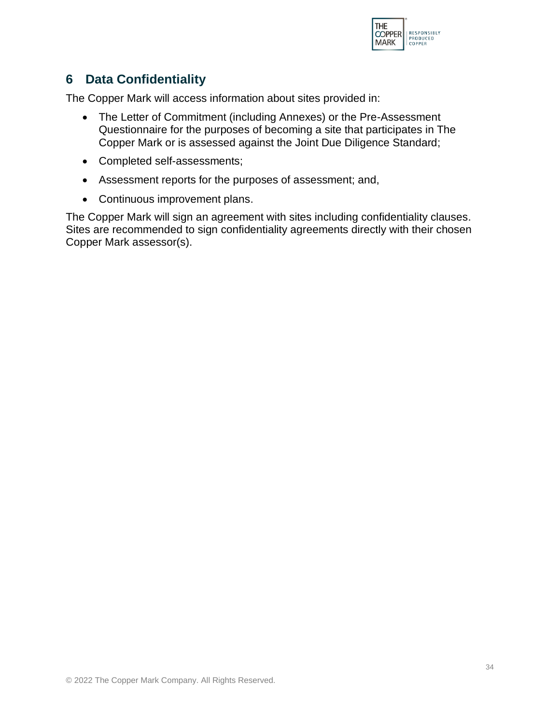

# <span id="page-34-0"></span>**6 Data Confidentiality**

The Copper Mark will access information about sites provided in:

- The Letter of Commitment (including Annexes) or the Pre-Assessment Questionnaire for the purposes of becoming a site that participates in The Copper Mark or is assessed against the Joint Due Diligence Standard;
- Completed self-assessments;
- Assessment reports for the purposes of assessment; and,
- Continuous improvement plans.

The Copper Mark will sign an agreement with sites including confidentiality clauses. Sites are recommended to sign confidentiality agreements directly with their chosen Copper Mark assessor(s).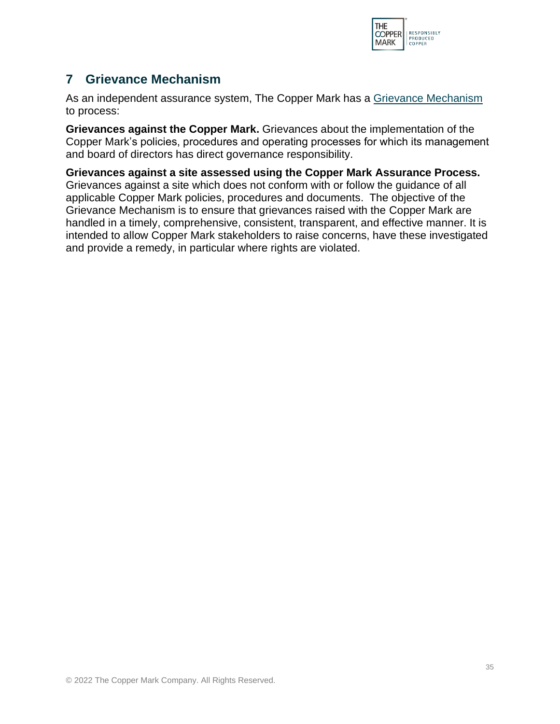

# <span id="page-35-0"></span>**7 Grievance Mechanism**

As an independent assurance system, The Copper Mark has a [Grievance Mechanism](https://coppermark.org/about/grievance/) to process:

**Grievances against the Copper Mark.** Grievances about the implementation of the Copper Mark's policies, procedures and operating processes for which its management and board of directors has direct governance responsibility.

**Grievances against a site assessed using the Copper Mark Assurance Process.** Grievances against a site which does not conform with or follow the guidance of all applicable Copper Mark policies, procedures and documents. The objective of the Grievance Mechanism is to ensure that grievances raised with the Copper Mark are handled in a timely, comprehensive, consistent, transparent, and effective manner. It is intended to allow Copper Mark stakeholders to raise concerns, have these investigated and provide a remedy, in particular where rights are violated.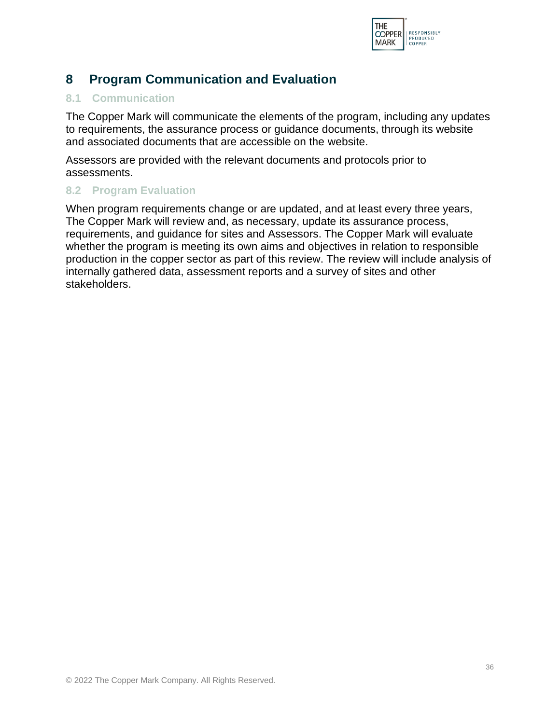

# <span id="page-36-0"></span>**8 Program Communication and Evaluation**

## <span id="page-36-1"></span>**8.1 Communication**

The Copper Mark will communicate the elements of the program, including any updates to requirements, the assurance process or guidance documents, through its website and associated documents that are accessible on the website.

Assessors are provided with the relevant documents and protocols prior to assessments.

## <span id="page-36-2"></span>**8.2 Program Evaluation**

When program requirements change or are updated, and at least every three years, The Copper Mark will review and, as necessary, update its assurance process, requirements, and guidance for sites and Assessors. The Copper Mark will evaluate whether the program is meeting its own aims and objectives in relation to responsible production in the copper sector as part of this review. The review will include analysis of internally gathered data, assessment reports and a survey of sites and other stakeholders.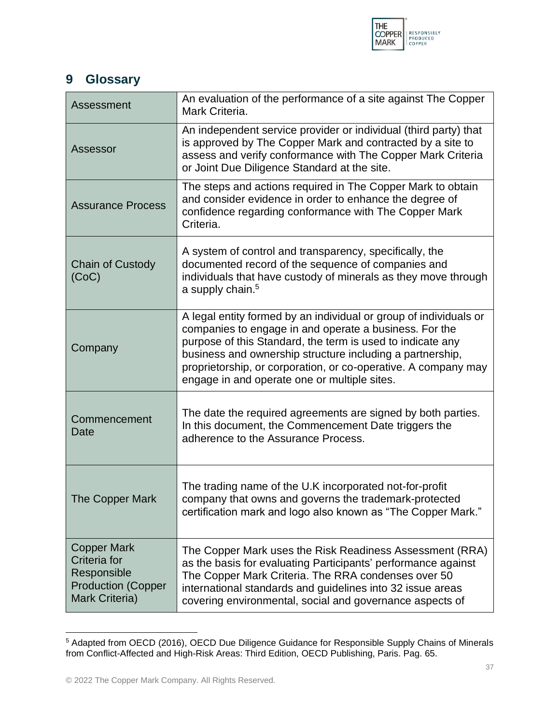

# <span id="page-37-0"></span>**9 Glossary**

<span id="page-37-5"></span><span id="page-37-4"></span><span id="page-37-2"></span>

| Assessment                                                                                       | An evaluation of the performance of a site against The Copper<br>Mark Criteria.                                                                                                                                                                                                                                                                                          |
|--------------------------------------------------------------------------------------------------|--------------------------------------------------------------------------------------------------------------------------------------------------------------------------------------------------------------------------------------------------------------------------------------------------------------------------------------------------------------------------|
| Assessor                                                                                         | An independent service provider or individual (third party) that<br>is approved by The Copper Mark and contracted by a site to<br>assess and verify conformance with The Copper Mark Criteria<br>or Joint Due Diligence Standard at the site.                                                                                                                            |
| <b>Assurance Process</b>                                                                         | The steps and actions required in The Copper Mark to obtain<br>and consider evidence in order to enhance the degree of<br>confidence regarding conformance with The Copper Mark<br>Criteria.                                                                                                                                                                             |
| <b>Chain of Custody</b><br>(CoC)                                                                 | A system of control and transparency, specifically, the<br>documented record of the sequence of companies and<br>individuals that have custody of minerals as they move through<br>a supply chain. <sup>5</sup>                                                                                                                                                          |
| Company                                                                                          | A legal entity formed by an individual or group of individuals or<br>companies to engage in and operate a business. For the<br>purpose of this Standard, the term is used to indicate any<br>business and ownership structure including a partnership,<br>proprietorship, or corporation, or co-operative. A company may<br>engage in and operate one or multiple sites. |
| Commencement<br>Date                                                                             | The date the required agreements are signed by both parties.<br>In this document, the Commencement Date triggers the<br>adherence to the Assurance Process.                                                                                                                                                                                                              |
| The Copper Mark                                                                                  | The trading name of the U.K incorporated not-for-profit<br>company that owns and governs the trademark-protected<br>certification mark and logo also known as "The Copper Mark."                                                                                                                                                                                         |
| <b>Copper Mark</b><br>Criteria for<br>Responsible<br><b>Production (Copper</b><br>Mark Criteria) | The Copper Mark uses the Risk Readiness Assessment (RRA)<br>as the basis for evaluating Participants' performance against<br>The Copper Mark Criteria. The RRA condenses over 50<br>international standards and guidelines into 32 issue areas<br>covering environmental, social and governance aspects of                                                               |

<span id="page-37-3"></span><span id="page-37-1"></span><sup>5</sup> Adapted from OECD (2016), OECD Due Diligence Guidance for Responsible Supply Chains of Minerals from Conflict-Affected and High-Risk Areas: Third Edition, OECD Publishing, Paris. Pag. 65.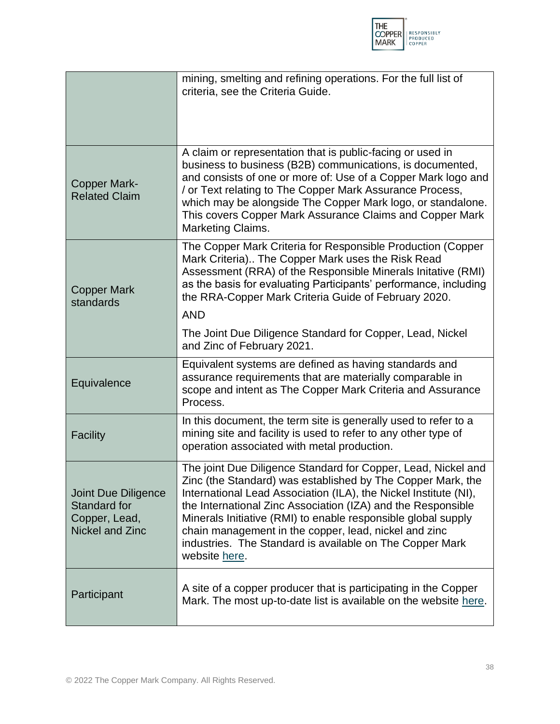

<span id="page-38-0"></span>

|                                                                                | mining, smelting and refining operations. For the full list of<br>criteria, see the Criteria Guide.                                                                                                                                                                                                                                                                                                                                                                     |
|--------------------------------------------------------------------------------|-------------------------------------------------------------------------------------------------------------------------------------------------------------------------------------------------------------------------------------------------------------------------------------------------------------------------------------------------------------------------------------------------------------------------------------------------------------------------|
| <b>Copper Mark-</b><br><b>Related Claim</b>                                    | A claim or representation that is public-facing or used in<br>business to business (B2B) communications, is documented,<br>and consists of one or more of: Use of a Copper Mark logo and<br>/ or Text relating to The Copper Mark Assurance Process,<br>which may be alongside The Copper Mark logo, or standalone.<br>This covers Copper Mark Assurance Claims and Copper Mark<br>Marketing Claims.                                                                    |
| <b>Copper Mark</b><br>standards                                                | The Copper Mark Criteria for Responsible Production (Copper<br>Mark Criteria) The Copper Mark uses the Risk Read<br>Assessment (RRA) of the Responsible Minerals Initative (RMI)<br>as the basis for evaluating Participants' performance, including<br>the RRA-Copper Mark Criteria Guide of February 2020.<br><b>AND</b><br>The Joint Due Diligence Standard for Copper, Lead, Nickel                                                                                 |
| Equivalence                                                                    | and Zinc of February 2021.<br>Equivalent systems are defined as having standards and<br>assurance requirements that are materially comparable in<br>scope and intent as The Copper Mark Criteria and Assurance<br>Process.                                                                                                                                                                                                                                              |
| <b>Facility</b>                                                                | In this document, the term site is generally used to refer to a<br>mining site and facility is used to refer to any other type of<br>operation associated with metal production.                                                                                                                                                                                                                                                                                        |
| Joint Due Diligence<br>Standard for<br>Copper, Lead,<br><b>Nickel and Zinc</b> | The joint Due Diligence Standard for Copper, Lead, Nickel and<br>Zinc (the Standard) was established by The Copper Mark, the<br>International Lead Association (ILA), the Nickel Institute (NI),<br>the International Zinc Association (IZA) and the Responsible<br>Minerals Initiative (RMI) to enable responsible global supply<br>chain management in the copper, lead, nickel and zinc<br>industries. The Standard is available on The Copper Mark<br>website here. |
| Participant                                                                    | A site of a copper producer that is participating in the Copper<br>Mark. The most up-to-date list is available on the website here.                                                                                                                                                                                                                                                                                                                                     |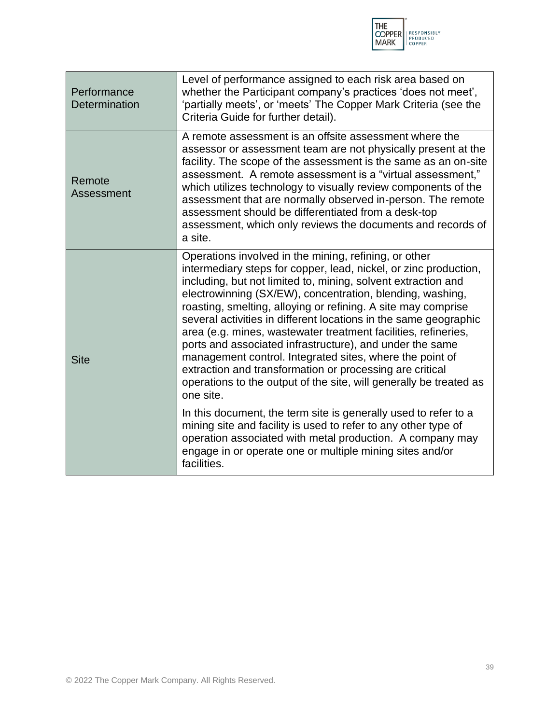

| Performance<br>Determination | Level of performance assigned to each risk area based on<br>whether the Participant company's practices 'does not meet',<br>'partially meets', or 'meets' The Copper Mark Criteria (see the<br>Criteria Guide for further detail).                                                                                                                                                                                                                                                                                                                                                                                                                                                                                                    |
|------------------------------|---------------------------------------------------------------------------------------------------------------------------------------------------------------------------------------------------------------------------------------------------------------------------------------------------------------------------------------------------------------------------------------------------------------------------------------------------------------------------------------------------------------------------------------------------------------------------------------------------------------------------------------------------------------------------------------------------------------------------------------|
| Remote<br>Assessment         | A remote assessment is an offsite assessment where the<br>assessor or assessment team are not physically present at the<br>facility. The scope of the assessment is the same as an on-site<br>assessment. A remote assessment is a "virtual assessment,"<br>which utilizes technology to visually review components of the<br>assessment that are normally observed in-person. The remote<br>assessment should be differentiated from a desk-top<br>assessment, which only reviews the documents and records of<br>a site.                                                                                                                                                                                                            |
| <b>Site</b>                  | Operations involved in the mining, refining, or other<br>intermediary steps for copper, lead, nickel, or zinc production,<br>including, but not limited to, mining, solvent extraction and<br>electrowinning (SX/EW), concentration, blending, washing,<br>roasting, smelting, alloying or refining. A site may comprise<br>several activities in different locations in the same geographic<br>area (e.g. mines, wastewater treatment facilities, refineries,<br>ports and associated infrastructure), and under the same<br>management control. Integrated sites, where the point of<br>extraction and transformation or processing are critical<br>operations to the output of the site, will generally be treated as<br>one site. |
|                              | In this document, the term site is generally used to refer to a<br>mining site and facility is used to refer to any other type of<br>operation associated with metal production. A company may<br>engage in or operate one or multiple mining sites and/or<br>facilities.                                                                                                                                                                                                                                                                                                                                                                                                                                                             |